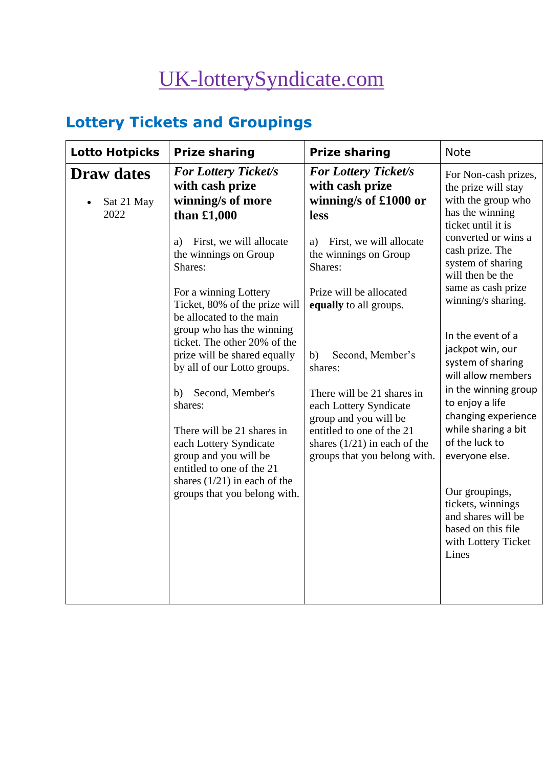# [UK-lotterySyndicate.com](http://www.uk-lotterysyndicate.com/)

## **Lottery Tickets and Groupings**

| <b>Lotto Hotpicks</b>                   | <b>Prize sharing</b>                                                                                            | <b>Prize sharing</b>                                                                                       | <b>Note</b>                                                                                                     |
|-----------------------------------------|-----------------------------------------------------------------------------------------------------------------|------------------------------------------------------------------------------------------------------------|-----------------------------------------------------------------------------------------------------------------|
| <b>Draw dates</b><br>Sat 21 May<br>2022 | <b>For Lottery Ticket/s</b><br>with cash prize<br>winning/s of more<br>than $£1,000$                            | <b>For Lottery Ticket/s</b><br>with cash prize<br>winning/s of £1000 or<br>less                            | For Non-cash prizes,<br>the prize will stay<br>with the group who<br>has the winning<br>ticket until it is      |
|                                         | First, we will allocate<br>a)<br>the winnings on Group<br>Shares:                                               | First, we will allocate<br>a)<br>the winnings on Group<br>Shares:                                          | converted or wins a<br>cash prize. The<br>system of sharing<br>will then be the                                 |
|                                         | For a winning Lottery<br>Ticket, 80% of the prize will<br>be allocated to the main<br>group who has the winning | Prize will be allocated<br>equally to all groups.                                                          | same as cash prize<br>winning/s sharing.                                                                        |
|                                         | ticket. The other 20% of the<br>prize will be shared equally<br>by all of our Lotto groups.                     | Second, Member's<br>b)<br>shares:                                                                          | In the event of a<br>jackpot win, our<br>system of sharing<br>will allow members                                |
|                                         | Second, Member's<br>b)<br>shares:<br>There will be 21 shares in                                                 | There will be 21 shares in<br>each Lottery Syndicate<br>group and you will be<br>entitled to one of the 21 | in the winning group<br>to enjoy a life<br>changing experience<br>while sharing a bit                           |
|                                         | each Lottery Syndicate<br>group and you will be<br>entitled to one of the 21                                    | shares $(1/21)$ in each of the<br>groups that you belong with.                                             | of the luck to<br>everyone else.                                                                                |
|                                         | shares $(1/21)$ in each of the<br>groups that you belong with.                                                  |                                                                                                            | Our groupings,<br>tickets, winnings<br>and shares will be<br>based on this file<br>with Lottery Ticket<br>Lines |
|                                         |                                                                                                                 |                                                                                                            |                                                                                                                 |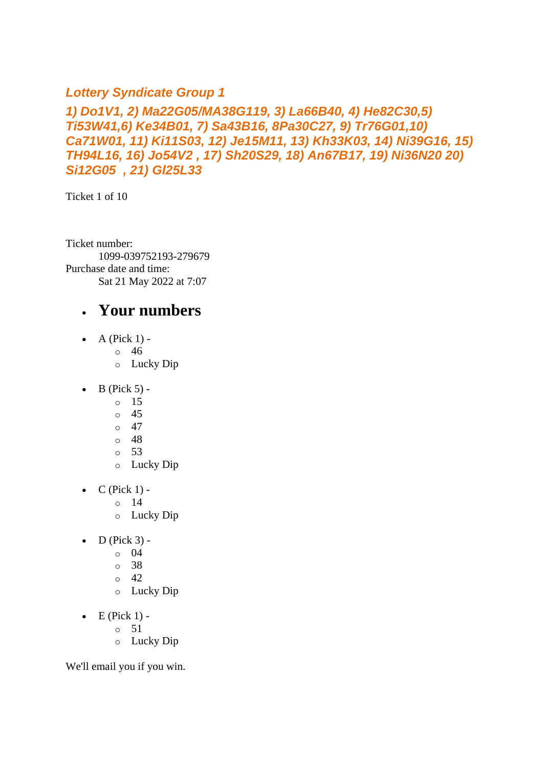#### *Lottery Syndicate Group 1*

#### *1) Do1V1, 2) Ma22G05/MA38G119, 3) La66B40, 4) He82C30,5) Ti53W41,6) Ke34B01, 7) Sa43B16, 8Pa30C27, 9) Tr76G01,10) Ca71W01, 11) Ki11S03, 12) Je15M11, 13) Kh33K03, 14) Ni39G16, 15) TH94L16, 16) Jo54V2 , 17) Sh20S29, 18) An67B17, 19) Ni36N20 20) Si12G05 , 21) Gl25L33*

Ticket 1 of 10

Ticket number: 1099-039752193-279679 Purchase date and time: Sat 21 May 2022 at 7:07

#### • **Your numbers**

- A (Pick  $1$ )
	- o 46
	- o Lucky Dip
- $\bullet$  B (Pick 5)
	- o 15
	- o 45
	- $\circ$  47
	- o 48
	- $\circ$  53
	- o Lucky Dip
- $\bullet$  C (Pick 1)
	- o 14
	- o Lucky Dip
- $\bullet$  D (Pick 3)
	- o 04
	- o 38
	- o 42
	- o Lucky Dip
- $\bullet$  E (Pick 1)
	- o 51
	- o Lucky Dip

We'll email you if you win.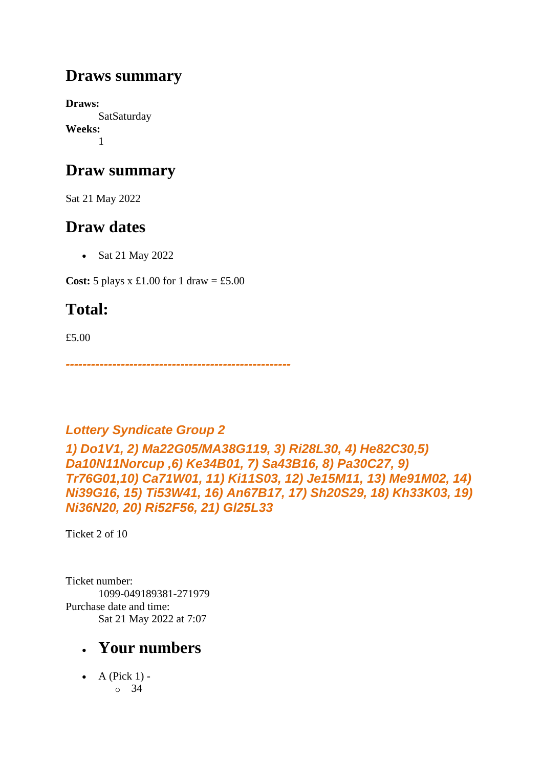### **Draws summary**

**Draws: SatSaturday Weeks:** 1

### **Draw summary**

Sat 21 May 2022

### **Draw dates**

• Sat 21 May 2022

**Cost:** 5 plays x £1.00 for 1 draw = £5.00

## **Total:**

£5.00

*-----------------------------------------------------*

### *Lottery Syndicate Group 2*

*1) Do1V1, 2) Ma22G05/MA38G119, 3) Ri28L30, 4) He82C30,5) Da10N11Norcup ,6) Ke34B01, 7) Sa43B16, 8) Pa30C27, 9) Tr76G01,10) Ca71W01, 11) Ki11S03, 12) Je15M11, 13) Me91M02, 14) Ni39G16, 15) Ti53W41, 16) An67B17, 17) Sh20S29, 18) Kh33K03, 19) Ni36N20, 20) Ri52F56, 21) Gl25L33*

Ticket 2 of 10

Ticket number: 1099-049189381-271979 Purchase date and time: Sat 21 May 2022 at 7:07

## • **Your numbers**

• A (Pick  $1$ ) o 34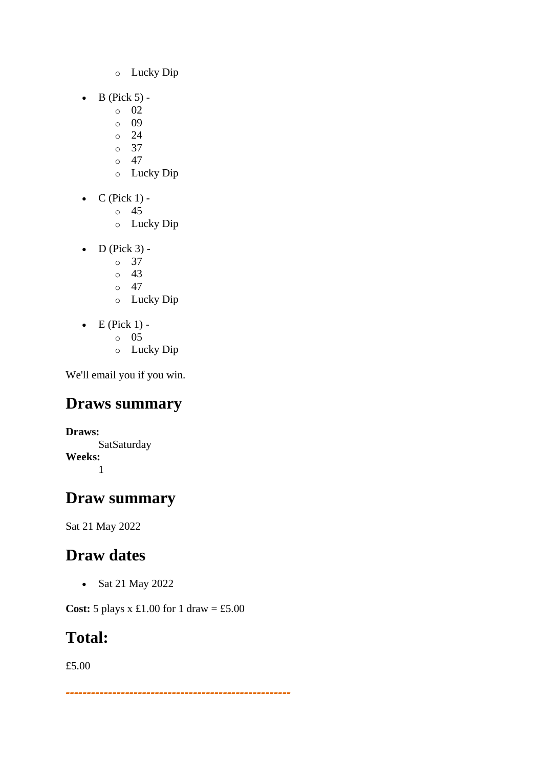- o Lucky Dip
- $\bullet$  B (Pick 5)
	- o 02
	- o 09
	- $\circ$  24
	- o 37  $\circ$  47
	- o Lucky Dip
- $\bullet$  C (Pick 1)
	- o 45
	- o Lucky Dip
- $\bullet$  D (Pick 3)
	- o 37
	- $\circ$  43
	- $\circ$  47
	- o Lucky Dip
- $\bullet$  E (Pick 1)
	- o 05
	- o Lucky Dip

## **Draws summary**

**Draws: SatSaturday Weeks:** 1

### **Draw summary**

Sat 21 May 2022

## **Draw dates**

• Sat 21 May 2022

**Cost:** 5 plays x £1.00 for 1 draw = £5.00

### **Total:**

£5.00

*-----------------------------------------------------*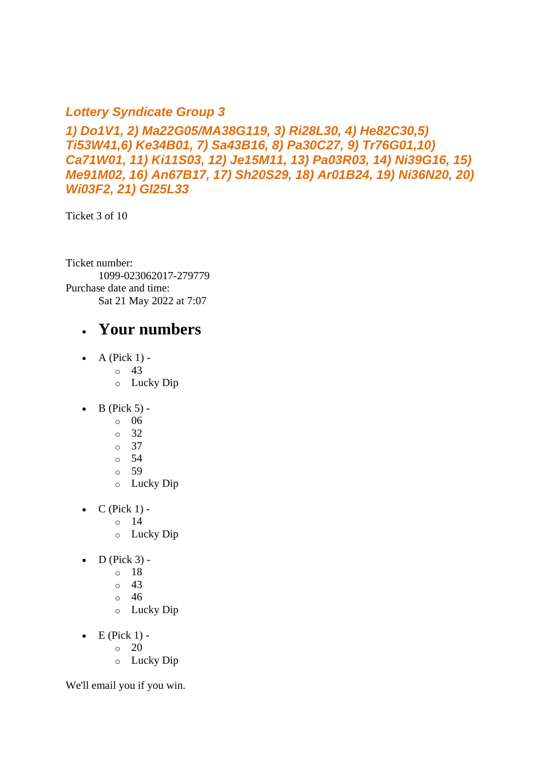#### *Lottery Syndicate Group 3*

*1) Do1V1, 2) Ma22G05/MA38G119, 3) Ri28L30, 4) He82C30,5) Ti53W41,6) Ke34B01, 7) Sa43B16, 8) Pa30C27, 9) Tr76G01,10) Ca71W01, 11) Ki11S03, 12) Je15M11, 13) Pa03R03, 14) Ni39G16, 15) Me91M02, 16) An67B17, 17) Sh20S29, 18) Ar01B24, 19) Ni36N20, 20) Wi03F2, 21) Gl25L33*

Ticket 3 of 10

Ticket number: 1099-023062017-279779 Purchase date and time: Sat 21 May 2022 at 7:07

#### • **Your numbers**

- A (Pick  $1$ ) -
	- $\circ$  43
	- o Lucky Dip
- $\bullet$  B (Pick 5)
	- o 06
	- o 32
	- o 37
	- o 54
	- o 59
	- o Lucky Dip
- $C$  (Pick 1) -
	- $\circ$  14
	- o Lucky Dip
- $\bullet$  D (Pick 3)
	- o 18
	- o 43
	- o 46
	- o Lucky Dip
- $\bullet$  E (Pick 1)
	- o 20
	- o Lucky Dip

We'll email you if you win.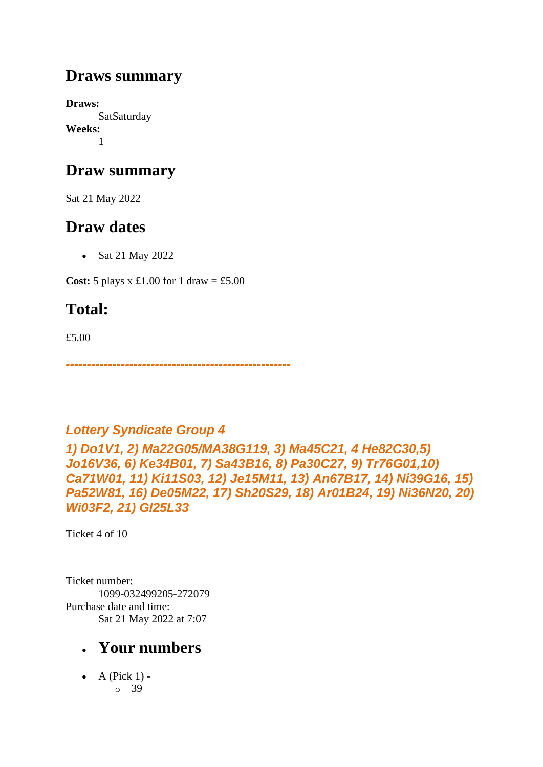### **Draws summary**

**Draws: SatSaturday Weeks:** 1

### **Draw summary**

Sat 21 May 2022

### **Draw dates**

• Sat 21 May 2022

**Cost:**  $5$  plays x £1.00 for 1 draw = £5.00

## **Total:**

£5.00

*-----------------------------------------------------*

### *Lottery Syndicate Group 4*

*1) Do1V1, 2) Ma22G05/MA38G119, 3) Ma45C21, 4 He82C30,5) Jo16V36, 6) Ke34B01, 7) Sa43B16, 8) Pa30C27, 9) Tr76G01,10) Ca71W01, 11) Ki11S03, 12) Je15M11, 13) An67B17, 14) Ni39G16, 15) Pa52W81, 16) De05M22, 17) Sh20S29, 18) Ar01B24, 19) Ni36N20, 20) Wi03F2, 21) Gl25L33*

Ticket 4 of 10

Ticket number: 1099-032499205-272079 Purchase date and time: Sat 21 May 2022 at 7:07

### • **Your numbers**

• A (Pick  $1$ ) o 39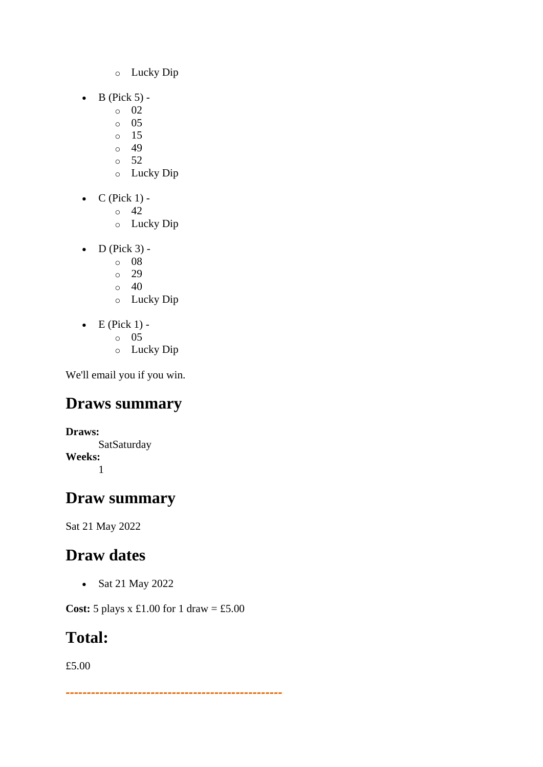- o Lucky Dip
- $\bullet$  B (Pick 5)
	- o 02
	- o 05
	- o 15
	- $\circ$  49  $\circ$  52
	- o Lucky Dip
- $\bullet$  C (Pick 1) -
	- $\circ$  42
	- o Lucky Dip
- $\bullet$  D (Pick 3)
	- o 08
	- o 29
	- $\circ$  40
	- o Lucky Dip
- $\bullet$  E (Pick 1)
	- o 05
	- o Lucky Dip

### **Draws summary**

**Draws: SatSaturday Weeks:** 1

### **Draw summary**

Sat 21 May 2022

### **Draw dates**

• Sat 21 May 2022

**Cost:** 5 plays x £1.00 for 1 draw = £5.00

### **Total:**

£5.00

*---------------------------------------------------*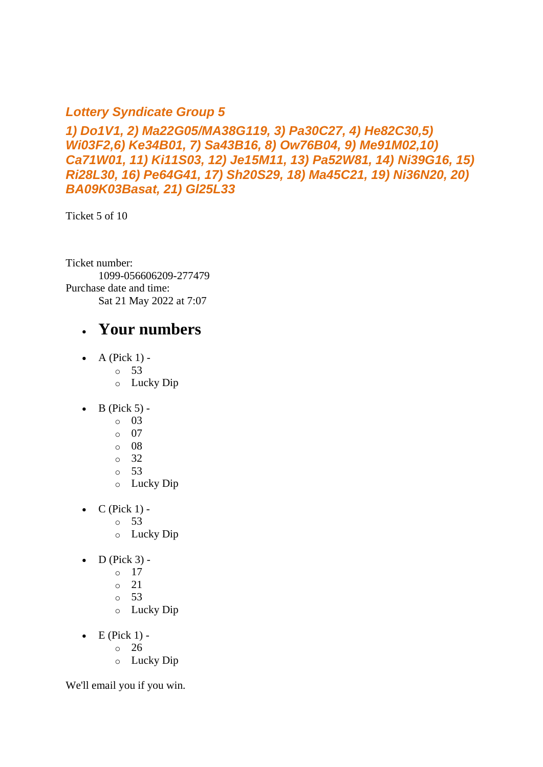#### *Lottery Syndicate Group 5*

*1) Do1V1, 2) Ma22G05/MA38G119, 3) Pa30C27, 4) He82C30,5) Wi03F2,6) Ke34B01, 7) Sa43B16, 8) Ow76B04, 9) Me91M02,10) Ca71W01, 11) Ki11S03, 12) Je15M11, 13) Pa52W81, 14) Ni39G16, 15) Ri28L30, 16) Pe64G41, 17) Sh20S29, 18) Ma45C21, 19) Ni36N20, 20) BA09K03Basat, 21) Gl25L33*

Ticket 5 of 10

Ticket number: 1099-056606209-277479 Purchase date and time: Sat 21 May 2022 at 7:07

#### • **Your numbers**

- A (Pick  $1$ ) -
	- $\circ$  53
	- o Lucky Dip
- $\bullet$  B (Pick 5)
	- o 03
	- o 07
	- o 08
	- o 32
	- o 53
	- o Lucky Dip
- $C$  (Pick 1) -
	- $\circ$  53
	- o Lucky Dip
- $\bullet$  D (Pick 3)
	- o 17
	- $\circ$  21
	- o 53
	- o Lucky Dip
- $\bullet$  E (Pick 1)
	- o 26
	- o Lucky Dip

We'll email you if you win.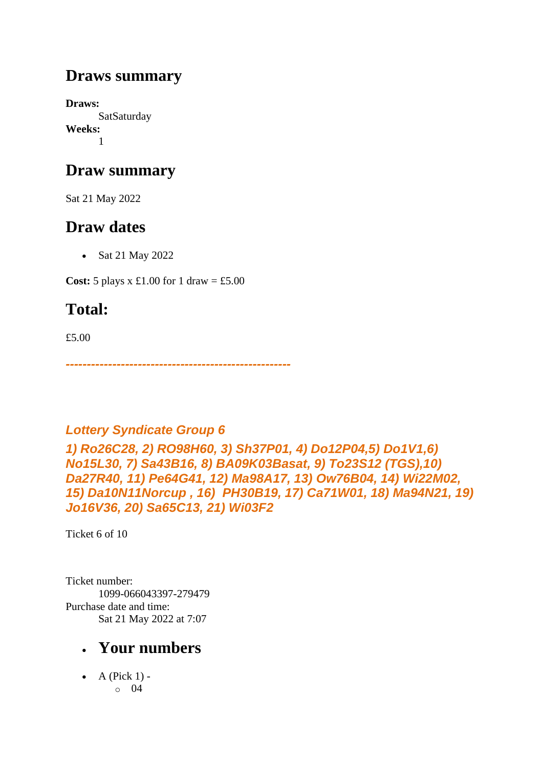### **Draws summary**

**Draws: SatSaturday Weeks:** 1

### **Draw summary**

Sat 21 May 2022

### **Draw dates**

• Sat 21 May 2022

**Cost:**  $5$  plays x £1.00 for 1 draw = £5.00

## **Total:**

£5.00

*-----------------------------------------------------*

### *Lottery Syndicate Group 6*

*1) Ro26C28, 2) RO98H60, 3) Sh37P01, 4) Do12P04,5) Do1V1,6) No15L30, 7) Sa43B16, 8) BA09K03Basat, 9) To23S12 (TGS),10) Da27R40, 11) Pe64G41, 12) Ma98A17, 13) Ow76B04, 14) Wi22M02, 15) Da10N11Norcup , 16) PH30B19, 17) Ca71W01, 18) Ma94N21, 19) Jo16V36, 20) Sa65C13, 21) Wi03F2*

Ticket 6 of 10

Ticket number: 1099-066043397-279479 Purchase date and time: Sat 21 May 2022 at 7:07

### • **Your numbers**

• A (Pick  $1$ ) o 04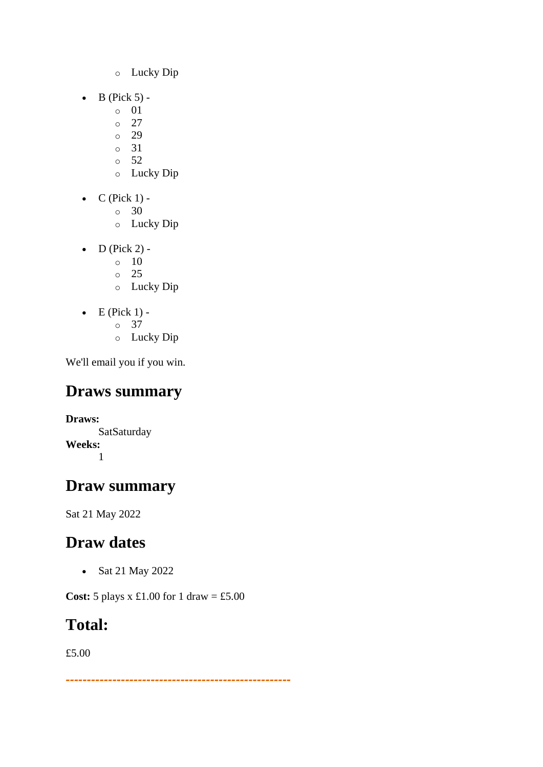- o Lucky Dip
- $\bullet$  B (Pick 5)
	- o 01
	- $\circ$  27
	- o 29
	- o 31  $\circ$  52
	- o Lucky Dip
- $\bullet$  C (Pick 1) -
	- $\circ$  30
	- o Lucky Dip
- D (Pick 2) -
	- $\circ$  10
	- o 25
	- o Lucky Dip
- $\bullet$  E (Pick 1)
	- o 37
	- o Lucky Dip

## **Draws summary**

**Draws: SatSaturday Weeks:** 1

## **Draw summary**

Sat 21 May 2022

## **Draw dates**

• Sat 21 May 2022

**Cost:** 5 plays x £1.00 for 1 draw = £5.00

## **Total:**

£5.00

*-----------------------------------------------------*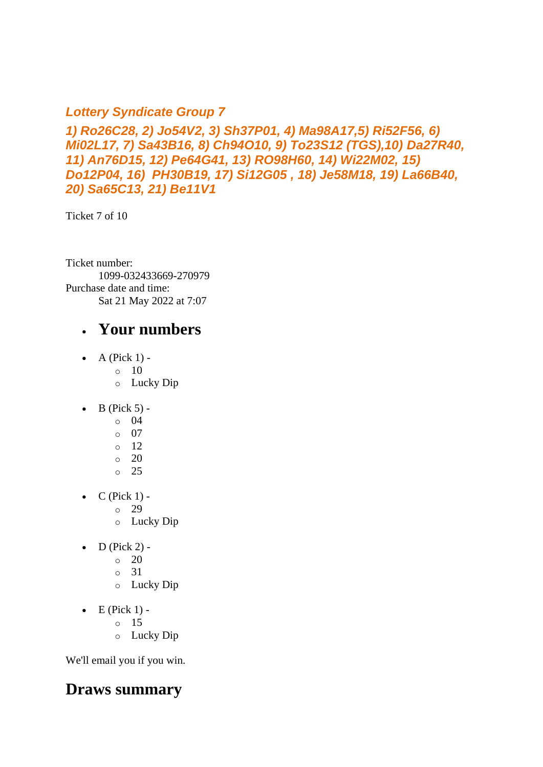#### *Lottery Syndicate Group 7*

*1) Ro26C28, 2) Jo54V2, 3) Sh37P01, 4) Ma98A17,5) Ri52F56, 6) Mi02L17, 7) Sa43B16, 8) Ch94O10, 9) To23S12 (TGS),10) Da27R40, 11) An76D15, 12) Pe64G41, 13) RO98H60, 14) Wi22M02, 15) Do12P04, 16) PH30B19, 17) Si12G05 , 18) Je58M18, 19) La66B40, 20) Sa65C13, 21) Be11V1*

Ticket 7 of 10

Ticket number: 1099-032433669-270979 Purchase date and time: Sat 21 May 2022 at 7:07

#### • **Your numbers**

- A (Pick  $1$ ) -
	- $\circ$  10
	- o Lucky Dip
- $\bullet$  B (Pick 5)
	- o 04
	- o 07
	- o 12
	- o 20
	- o 25
- $C$  (Pick 1) -
	- $\circ$  29
	- o Lucky Dip
- $\bullet$  D (Pick 2) -
	- $\circ$  20
	- o 31
	- o Lucky Dip
- $\bullet$  E (Pick 1)
	- o 15
	- o Lucky Dip

We'll email you if you win.

### **Draws summary**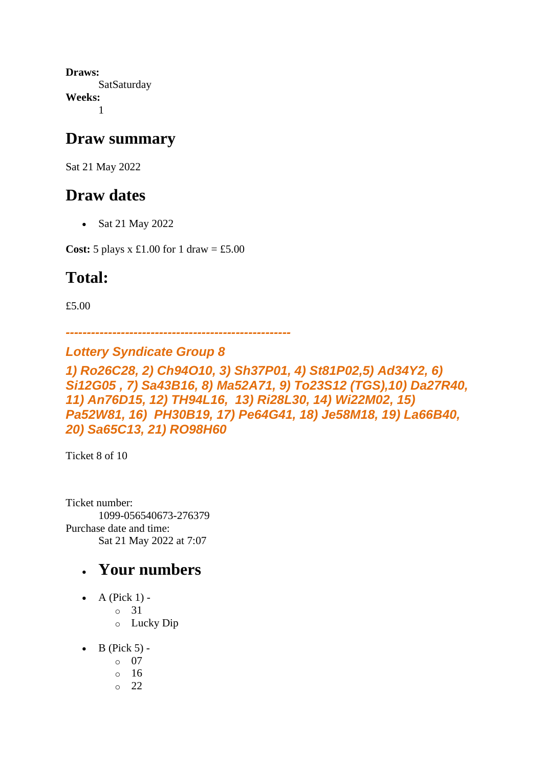**Draws: SatSaturday Weeks:** 1

#### **Draw summary**

Sat 21 May 2022

### **Draw dates**

• Sat 21 May 2022

**Cost:** 5 plays x £1.00 for 1 draw = £5.00

## **Total:**

£5.00

*-----------------------------------------------------*

#### *Lottery Syndicate Group 8*

*1) Ro26C28, 2) Ch94O10, 3) Sh37P01, 4) St81P02,5) Ad34Y2, 6) Si12G05 , 7) Sa43B16, 8) Ma52A71, 9) To23S12 (TGS),10) Da27R40, 11) An76D15, 12) TH94L16, 13) Ri28L30, 14) Wi22M02, 15) Pa52W81, 16) PH30B19, 17) Pe64G41, 18) Je58M18, 19) La66B40, 20) Sa65C13, 21) RO98H60*

Ticket 8 of 10

Ticket number: 1099-056540673-276379 Purchase date and time: Sat 21 May 2022 at 7:07

- A (Pick  $1$ )
	- o 31
	- o Lucky Dip
- $\bullet$  B (Pick 5)
	- o 07
	- o 16
	- o 22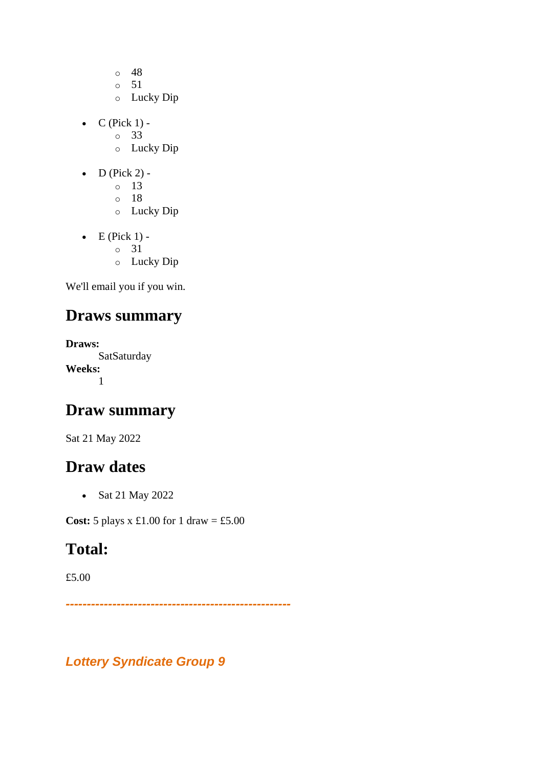- $\circ$  48
- o 51
- o Lucky Dip
- $\bullet$  C (Pick 1) -
	- $\circ$  33
	- o Lucky Dip
- D (Pick 2)
	- o 13
	- o 18
	- o Lucky Dip
- $\bullet$  E (Pick 1)
	- o 31
	- o Lucky Dip

### **Draws summary**

**Draws: SatSaturday Weeks:** 1

### **Draw summary**

Sat 21 May 2022

#### **Draw dates**

• Sat 21 May 2022

**Cost:** 5 plays x £1.00 for 1 draw = £5.00

### **Total:**

£5.00

*-----------------------------------------------------*

*Lottery Syndicate Group 9*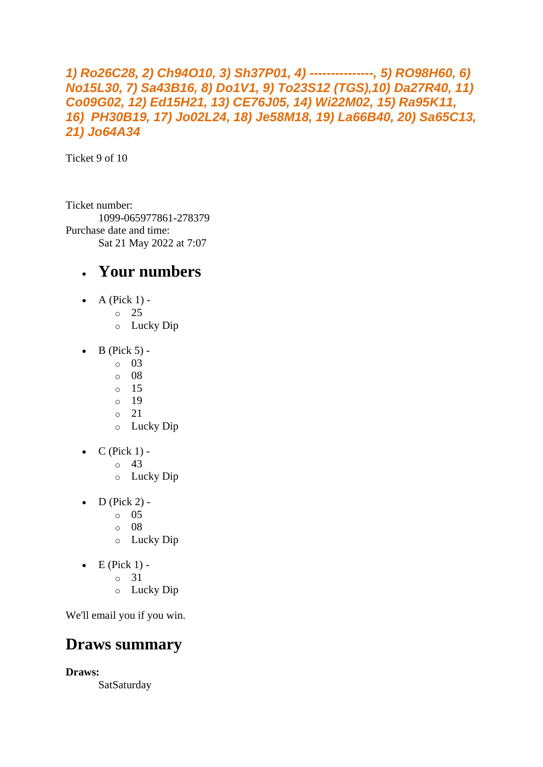#### *1) Ro26C28, 2) Ch94O10, 3) Sh37P01, 4) ---------------, 5) RO98H60, 6) No15L30, 7) Sa43B16, 8) Do1V1, 9) To23S12 (TGS),10) Da27R40, 11) Co09G02, 12) Ed15H21, 13) CE76J05, 14) Wi22M02, 15) Ra95K11, 16) PH30B19, 17) Jo02L24, 18) Je58M18, 19) La66B40, 20) Sa65C13, 21) Jo64A34*

Ticket 9 of 10

Ticket number: 1099-065977861-278379 Purchase date and time: Sat 21 May 2022 at 7:07

#### • **Your numbers**

- A (Pick  $1$ )
	- o 25
		- o Lucky Dip
- $\bullet$  B (Pick 5) -
	- $\circ$  03
	- o 08
	- o 15
	- o 19
	- o 21
	- o Lucky Dip
- $\bullet$  C (Pick 1) -
	- $\circ$  43
	- o Lucky Dip
- $D$  (Pick 2) -
	- $\circ$  05
	- o 08
	- o Lucky Dip
- $\bullet$  E (Pick 1)
	- o 31
	- o Lucky Dip

We'll email you if you win.

### **Draws summary**

**Draws:**

SatSaturday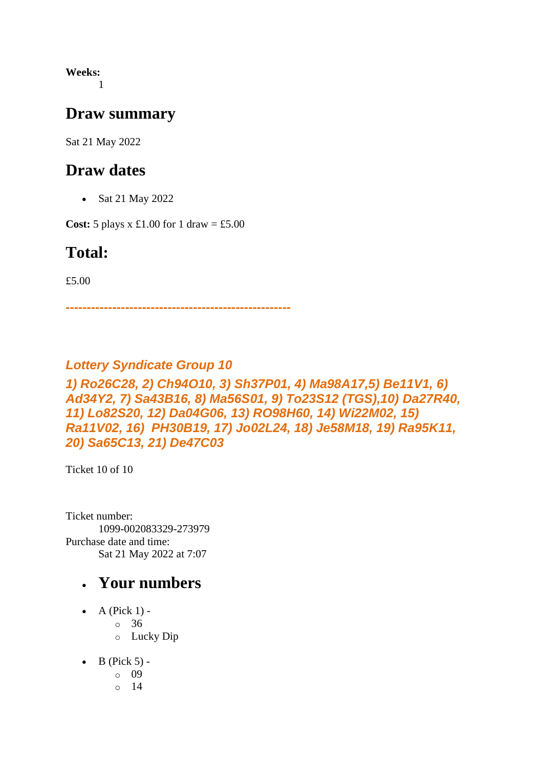**Weeks:** 1

#### **Draw summary**

Sat 21 May 2022

#### **Draw dates**

• Sat 21 May 2022

**Cost:** 5 plays x £1.00 for 1 draw = £5.00

#### **Total:**

£5.00

*-----------------------------------------------------*

#### *Lottery Syndicate Group 10*

#### *1) Ro26C28, 2) Ch94O10, 3) Sh37P01, 4) Ma98A17,5) Be11V1, 6) Ad34Y2, 7) Sa43B16, 8) Ma56S01, 9) To23S12 (TGS),10) Da27R40, 11) Lo82S20, 12) Da04G06, 13) RO98H60, 14) Wi22M02, 15) Ra11V02, 16) PH30B19, 17) Jo02L24, 18) Je58M18, 19) Ra95K11, 20) Sa65C13, 21) De47C03*

Ticket 10 of 10

Ticket number: 1099-002083329-273979 Purchase date and time: Sat 21 May 2022 at 7:07

- A (Pick  $1$ ) -
	- $\circ$  36
	- o Lucky Dip
- $\bullet$  B (Pick 5)
	- o 09
	- o 14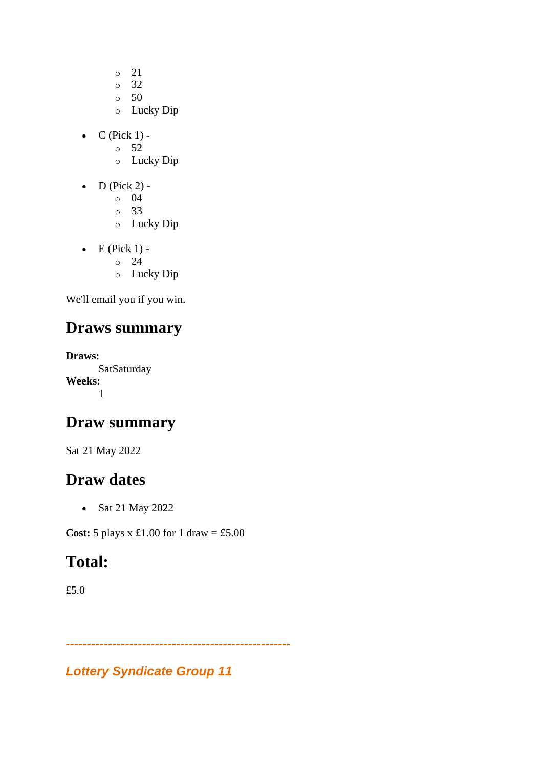- o 21
- o 32
- $\circ$  50
- o Lucky Dip
- $\bullet$  C (Pick 1) -
	- $\circ$  52
	- o Lucky Dip
- $\bullet$  D (Pick 2)
	- o 04
	- o 33
	- o Lucky Dip
- $\bullet$  E (Pick 1)
	- o 24
	- o Lucky Dip

### **Draws summary**

**Draws: SatSaturday Weeks:** 1

### **Draw summary**

Sat 21 May 2022

### **Draw dates**

• Sat 21 May 2022

**Cost:**  $5$  plays x  $\pounds1.00$  for  $1$  draw =  $\pounds5.00$ 

## **Total:**

£5.0

*Lottery Syndicate Group 11*

*-----------------------------------------------------*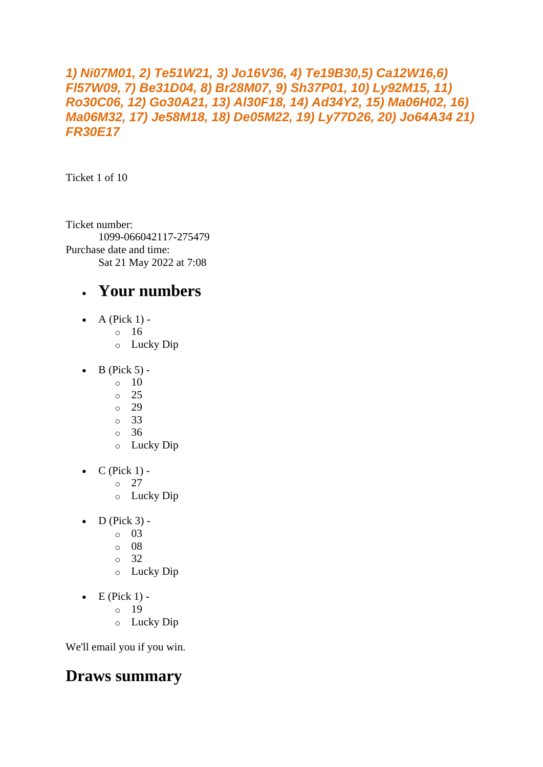#### *1) Ni07M01, 2) Te51W21, 3) Jo16V36, 4) Te19B30,5) Ca12W16,6) Fl57W09, 7) Be31D04, 8) Br28M07, 9) Sh37P01, 10) Ly92M15, 11) Ro30C06, 12) Go30A21, 13) Al30F18, 14) Ad34Y2, 15) Ma06H02, 16) Ma06M32, 17) Je58M18, 18) De05M22, 19) Ly77D26, 20) Jo64A34 21) FR30E17*

Ticket 1 of 10

Ticket number: 1099-066042117-275479 Purchase date and time: Sat 21 May 2022 at 7:08

### • **Your numbers**

- A (Pick  $1$ )
	- o 16
		- o Lucky Dip
- $\bullet$  B (Pick 5) -
	- $\circ$  10
	- o 25
	- o 29
	- o 33
	- o 36
	- o Lucky Dip
- $\bullet$  C (Pick 1)
	- o 27
	- o Lucky Dip
- $\bullet$  D (Pick 3)
	- o 03
	- o 08
	- o 32
	- o Lucky Dip
- $\bullet$  E (Pick 1)
	- o 19
	- o Lucky Dip

We'll email you if you win.

### **Draws summary**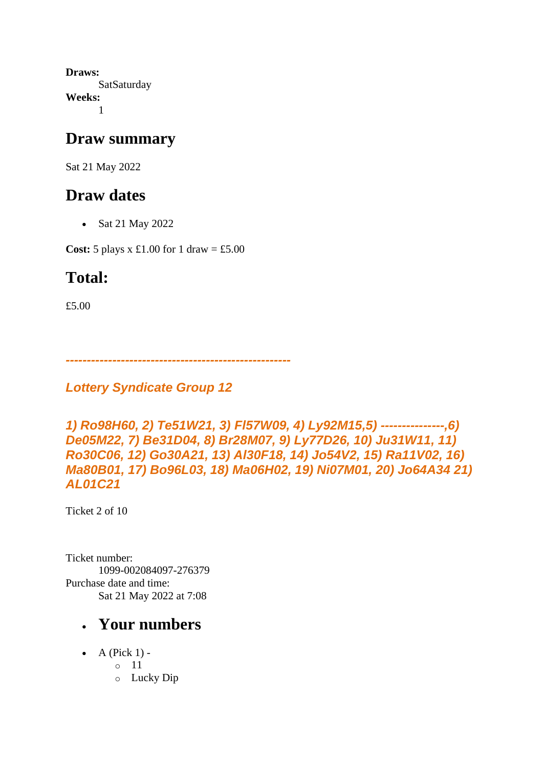**Draws: SatSaturday Weeks:** 1

#### **Draw summary**

Sat 21 May 2022

### **Draw dates**

• Sat 21 May 2022

**Cost:** 5 plays x £1.00 for 1 draw = £5.00

## **Total:**

£5.00

*-----------------------------------------------------*

*Lottery Syndicate Group 12*

```
1) Ro98H60, 2) Te51W21, 3) Fl57W09, 4) Ly92M15,5) ---------------,6) 
De05M22, 7) Be31D04, 8) Br28M07, 9) Ly77D26, 10) Ju31W11, 11) 
Ro30C06, 12) Go30A21, 13) Al30F18, 14) Jo54V2, 15) Ra11V02, 16) 
Ma80B01, 17) Bo96L03, 18) Ma06H02, 19) Ni07M01, 20) Jo64A34 21) 
AL01C21
```
Ticket 2 of 10

Ticket number: 1099-002084097-276379 Purchase date and time: Sat 21 May 2022 at 7:08

- A (Pick  $1$ )
	- o 11
		- o Lucky Dip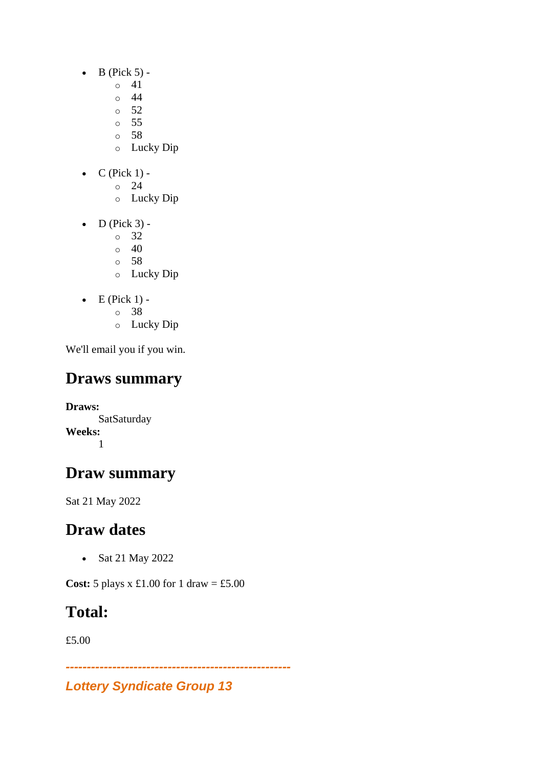- $\bullet$  B (Pick 5) -
	- $\circ$  41
	- o 44
	- $\circ$  52
	- o 55
	- o 58
	- o Lucky Dip
- $C$  (Pick 1) -
	- $\circ$  24
		- o Lucky Dip
- $\bullet$  D (Pick 3)
	- o 32
	- $\circ$  40
	- o 58
	- o Lucky Dip
- $\bullet$  E (Pick 1)
	- o 38
	- o Lucky Dip

## **Draws summary**

**Draws: SatSaturday Weeks:** 1

## **Draw summary**

Sat 21 May 2022

## **Draw dates**

• Sat 21 May 2022

**Cost:** 5 plays x £1.00 for 1 draw = £5.00

## **Total:**

£5.00

*-----------------------------------------------------*

### *Lottery Syndicate Group 13*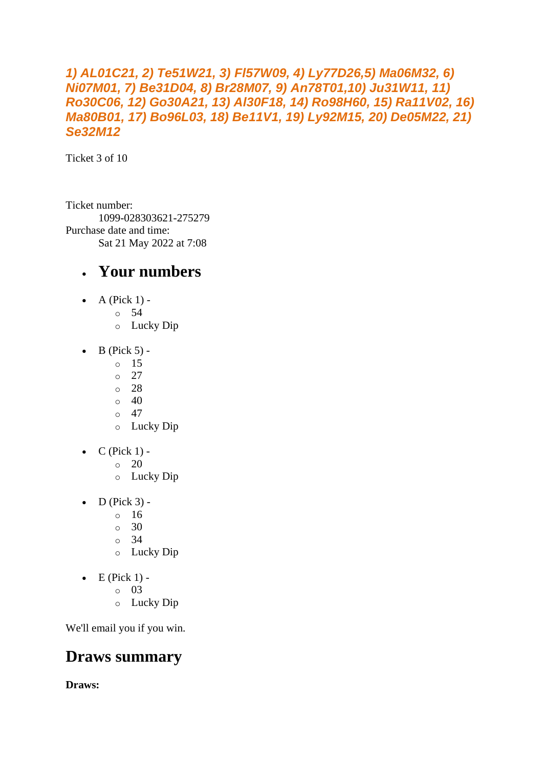#### *1) AL01C21, 2) Te51W21, 3) Fl57W09, 4) Ly77D26,5) Ma06M32, 6) Ni07M01, 7) Be31D04, 8) Br28M07, 9) An78T01,10) Ju31W11, 11) Ro30C06, 12) Go30A21, 13) Al30F18, 14) Ro98H60, 15) Ra11V02, 16) Ma80B01, 17) Bo96L03, 18) Be11V1, 19) Ly92M15, 20) De05M22, 21) Se32M12*

Ticket 3 of 10

Ticket number: 1099-028303621-275279 Purchase date and time: Sat 21 May 2022 at 7:08

#### • **Your numbers**

- A (Pick  $1$ )
	- o 54
		- o Lucky Dip
- $\bullet$  B (Pick 5)
	- o 15
		- o 27
		- o 28
		- $\circ$  40
		- $\circ$  47
		- o Lucky Dip
- $\bullet$  C (Pick 1) -
	- $\circ$  20
	- o Lucky Dip
- $\bullet$  D (Pick 3) -
	- $\circ$  16
	- o 30
	- $\circ$  34
	- o Lucky Dip
- $\bullet$  E (Pick 1)
	- o 03
	- o Lucky Dip

We'll email you if you win.

### **Draws summary**

**Draws:**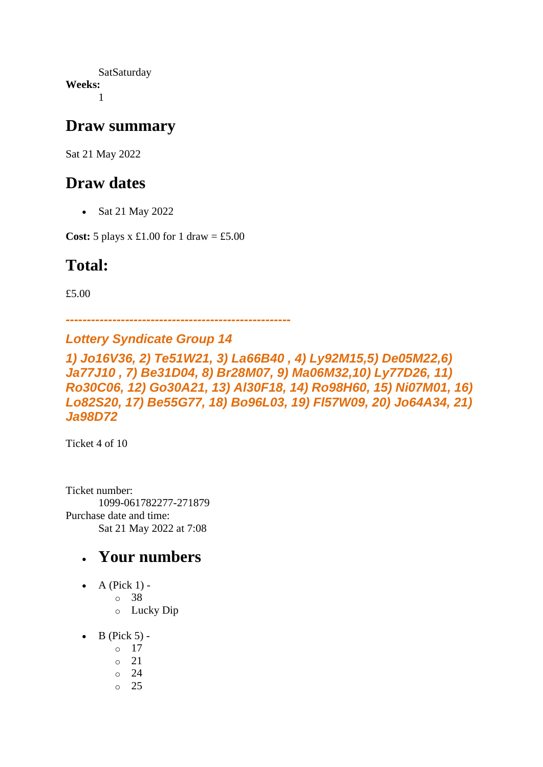**SatSaturday Weeks:** 1

#### **Draw summary**

Sat 21 May 2022

### **Draw dates**

• Sat 21 May 2022

**Cost:**  $5$  plays x £1.00 for 1 draw = £5.00

### **Total:**

£5.00

*-----------------------------------------------------*

#### *Lottery Syndicate Group 14*

*1) Jo16V36, 2) Te51W21, 3) La66B40 , 4) Ly92M15,5) De05M22,6) Ja77J10 , 7) Be31D04, 8) Br28M07, 9) Ma06M32,10) Ly77D26, 11) Ro30C06, 12) Go30A21, 13) Al30F18, 14) Ro98H60, 15) Ni07M01, 16) Lo82S20, 17) Be55G77, 18) Bo96L03, 19) Fl57W09, 20) Jo64A34, 21) Ja98D72*

Ticket 4 of 10

Ticket number: 1099-061782277-271879 Purchase date and time: Sat 21 May 2022 at 7:08

- $\bullet$  A (Pick 1)
	- o 38
	- o Lucky Dip
- $\bullet$  B (Pick 5)
	- o 17
	- o 21
	- o 24
	- o 25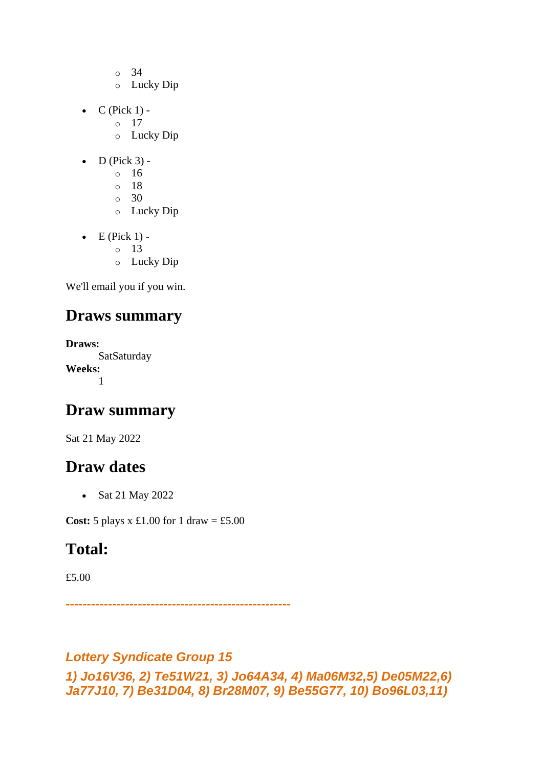- o 34
- o Lucky Dip
- $C$  (Pick 1)
	- o 17
		- o Lucky Dip
- $\bullet$  D (Pick 3)
	- o 16
	- o 18
	- o 30
	- o Lucky Dip
- $\bullet$  E (Pick 1) -
	- $\circ$  13
	- o Lucky Dip

### **Draws summary**

**Draws: SatSaturday Weeks:** 1

### **Draw summary**

Sat 21 May 2022

### **Draw dates**

• Sat 21 May 2022

**Cost:**  $5$  plays x £1.00 for 1 draw = £5.00

## **Total:**

£5.00

*-----------------------------------------------------*

#### *Lottery Syndicate Group 15*

*1) Jo16V36, 2) Te51W21, 3) Jo64A34, 4) Ma06M32,5) De05M22,6) Ja77J10, 7) Be31D04, 8) Br28M07, 9) Be55G77, 10) Bo96L03,11)*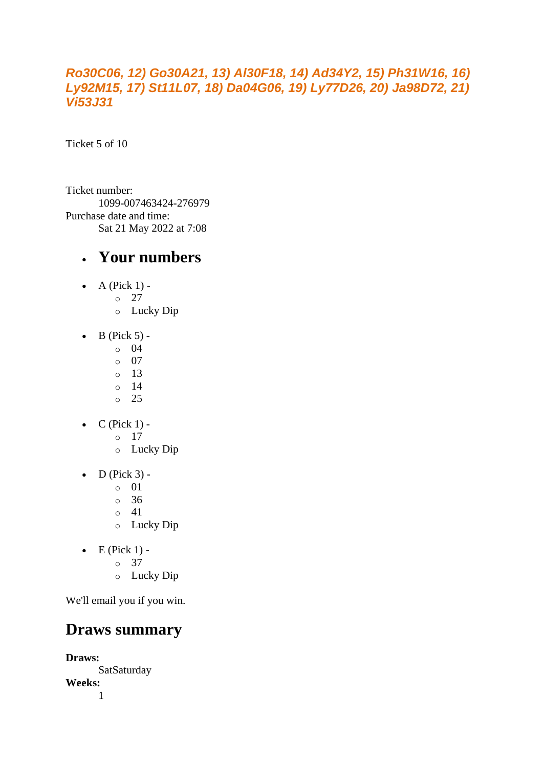#### *Ro30C06, 12) Go30A21, 13) Al30F18, 14) Ad34Y2, 15) Ph31W16, 16) Ly92M15, 17) St11L07, 18) Da04G06, 19) Ly77D26, 20) Ja98D72, 21) Vi53J31*

Ticket 5 of 10

Ticket number: 1099-007463424-276979 Purchase date and time: Sat 21 May 2022 at 7:08

#### • **Your numbers**

- A (Pick  $1$ ) -
	- $\circ$  27
		- o Lucky Dip
- $\bullet$  B (Pick 5) -
	- $\circ$  04
	- o 07
	- o 13
	- o 14 o 25
- $\bullet$  C (Pick 1)
	- o 17
	- o Lucky Dip
- $\bullet$  D (Pick 3) -
	- $\circ$  01
	- o 36
	- o 41
	- o Lucky Dip
- $\bullet$  E (Pick 1)
	- o 37
	- o Lucky Dip

We'll email you if you win.

#### **Draws summary**

**Draws:** SatSaturday **Weeks:** 1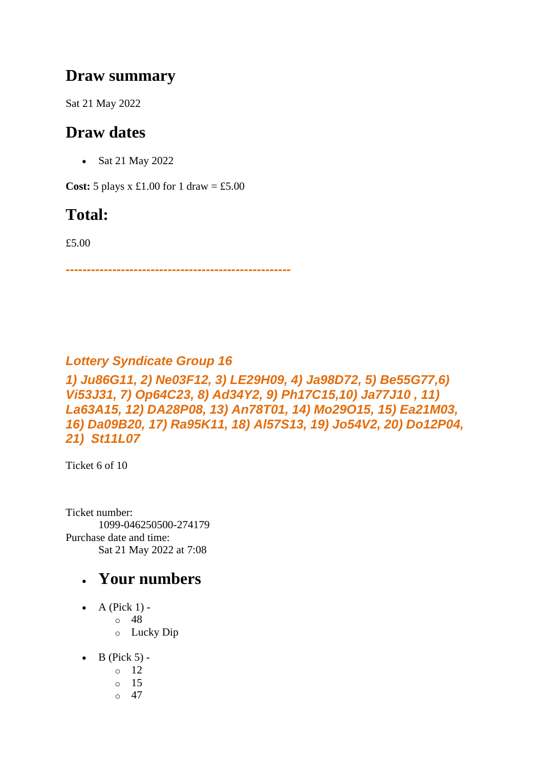#### **Draw summary**

Sat 21 May 2022

### **Draw dates**

• Sat 21 May 2022

**Cost:**  $5$  plays x £1.00 for 1 draw = £5.00

## **Total:**

£5.00

*-----------------------------------------------------*

#### *Lottery Syndicate Group 16*

*1) Ju86G11, 2) Ne03F12, 3) LE29H09, 4) Ja98D72, 5) Be55G77,6) Vi53J31, 7) Op64C23, 8) Ad34Y2, 9) Ph17C15,10) Ja77J10 , 11) La63A15, 12) DA28P08, 13) An78T01, 14) Mo29O15, 15) Ea21M03, 16) Da09B20, 17) Ra95K11, 18) Al57S13, 19) Jo54V2, 20) Do12P04, 21) St11L07*

Ticket 6 of 10

Ticket number: 1099-046250500-274179 Purchase date and time: Sat 21 May 2022 at 7:08

- A (Pick  $1$ )
	- o 48
		- o Lucky Dip
- $\bullet$  B (Pick 5) -
	- $\circ$  12
	- o 15
	- $\circ$  47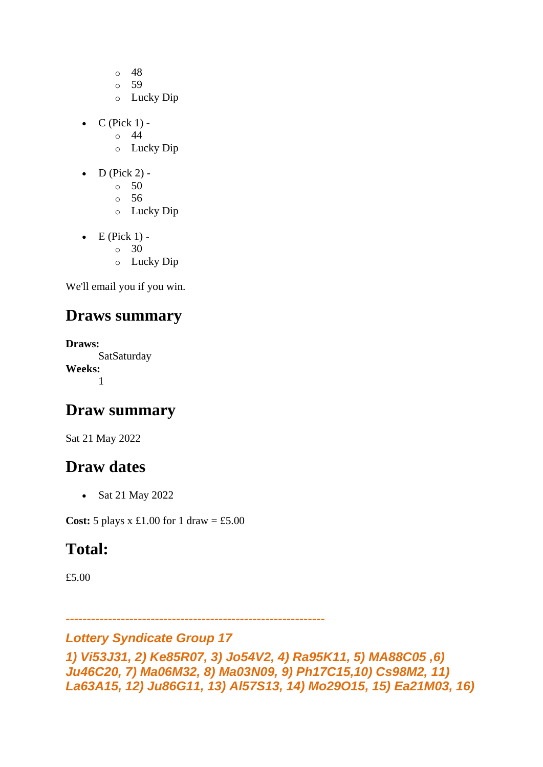- o 48
- o 59
- o Lucky Dip
- $C$  (Pick 1) -
	- $\circ$  44
	- o Lucky Dip
- $\bullet$  D (Pick 2) -
	- $\circ$  50
	- o 56
	- o Lucky Dip
- $\bullet$  E (Pick 1) -
	- $\circ$  30
	- o Lucky Dip

### **Draws summary**

**Draws: SatSaturday Weeks:** 1

### **Draw summary**

Sat 21 May 2022

### **Draw dates**

• Sat 21 May 2022

**Cost:**  $5$  plays x £1.00 for 1 draw = £5.00

### **Total:**

£5.00

*-------------------------------------------------------------*

#### *Lottery Syndicate Group 17*

*1) Vi53J31, 2) Ke85R07, 3) Jo54V2, 4) Ra95K11, 5) MA88C05 ,6) Ju46C20, 7) Ma06M32, 8) Ma03N09, 9) Ph17C15,10) Cs98M2, 11) La63A15, 12) Ju86G11, 13) Al57S13, 14) Mo29O15, 15) Ea21M03, 16)*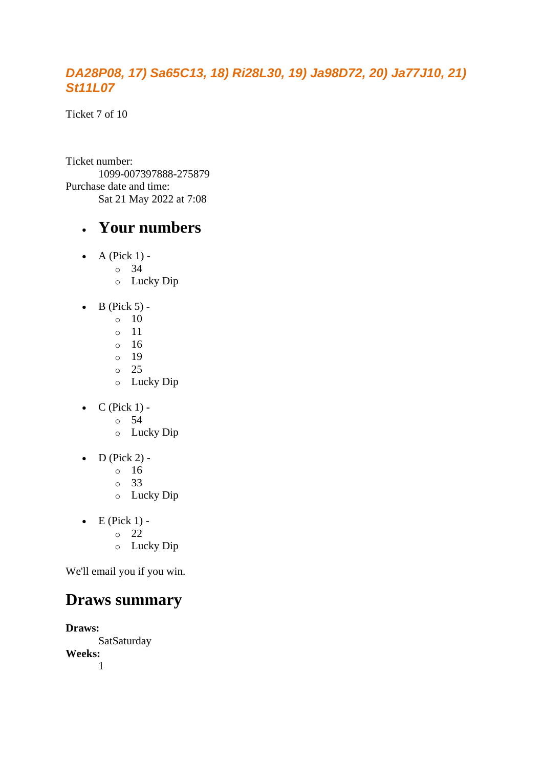#### *DA28P08, 17) Sa65C13, 18) Ri28L30, 19) Ja98D72, 20) Ja77J10, 21) St11L07*

Ticket 7 of 10

Ticket number: 1099-007397888-275879 Purchase date and time: Sat 21 May 2022 at 7:08

#### • **Your numbers**

- $\bullet$  A (Pick 1) -
	- $\circ$  34
		- o Lucky Dip
- $\bullet$  B (Pick 5) -
	- $\circ$  10
	- o 11
	- o 16
	- o 19 o 25
	- o Lucky Dip
- $\bullet$  C (Pick 1)
	- o 54
	- o Lucky Dip
- $\bullet$  D (Pick 2)
	- o 16
	- o 33
	- o Lucky Dip
- $\bullet$  E (Pick 1)
	- o 22
	- o Lucky Dip

We'll email you if you win.

### **Draws summary**

**Draws:** SatSaturday **Weeks:** 1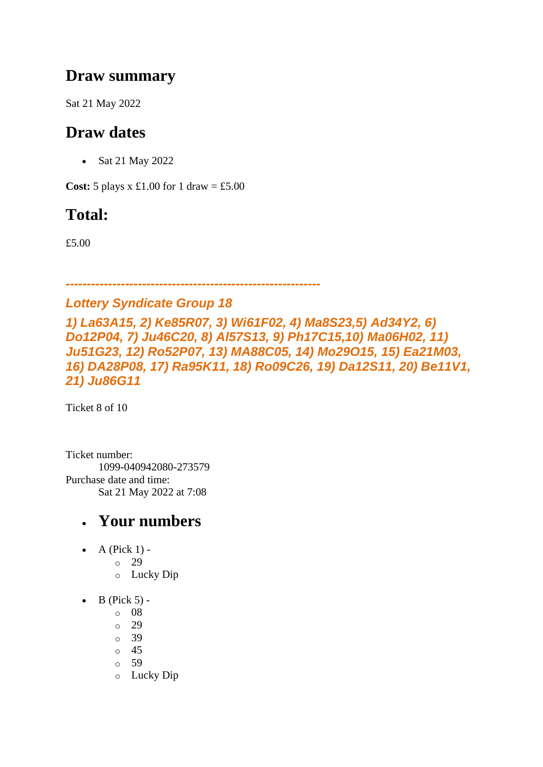### **Draw summary**

Sat 21 May 2022

### **Draw dates**

• Sat 21 May 2022

**Cost:**  $5$  plays x £1.00 for 1 draw = £5.00

## **Total:**

£5.00

#### *------------------------------------------------------------*

#### *Lottery Syndicate Group 18*

*1) La63A15, 2) Ke85R07, 3) Wi61F02, 4) Ma8S23,5) Ad34Y2, 6) Do12P04, 7) Ju46C20, 8) Al57S13, 9) Ph17C15,10) Ma06H02, 11) Ju51G23, 12) Ro52P07, 13) MA88C05, 14) Mo29O15, 15) Ea21M03, 16) DA28P08, 17) Ra95K11, 18) Ro09C26, 19) Da12S11, 20) Be11V1, 21) Ju86G11*

Ticket 8 of 10

Ticket number: 1099-040942080-273579 Purchase date and time: Sat 21 May 2022 at 7:08

- A (Pick  $1$ )
	- o 29
	- o Lucky Dip
- $\bullet$  B (Pick 5)
	- o 08
	- o 29
	- o 39
	- o 45
	- o 59
	- o Lucky Dip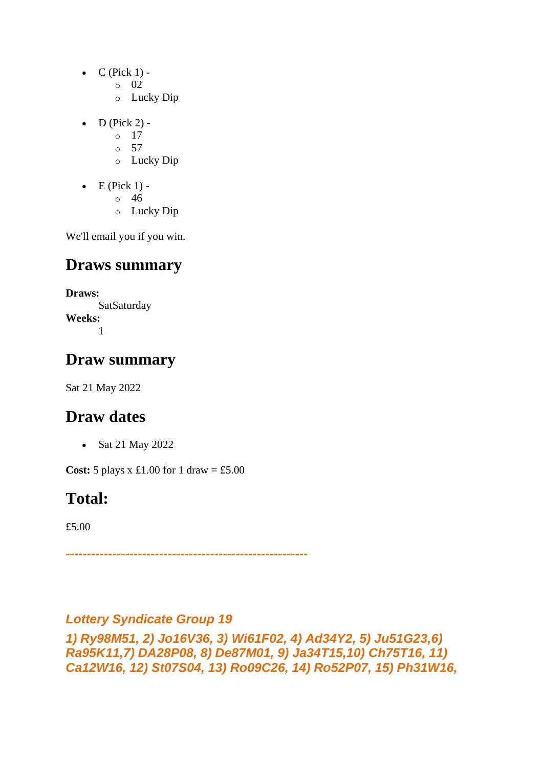- $\bullet$  C (Pick 1) -
	- $\circ$  02
	- o Lucky Dip
- $D$  (Pick 2)
	- o 17
	- $\circ$  57
	- o Lucky Dip
- $\bullet$  E (Pick 1)
	- o 46
	- o Lucky Dip

### **Draws summary**

**Draws: SatSaturday Weeks:** 1

### **Draw summary**

Sat 21 May 2022

## **Draw dates**

• Sat 21 May 2022

**Cost:**  $5$  plays x £1.00 for 1 draw = £5.00

## **Total:**

£5.00

*---------------------------------------------------------*

#### *Lottery Syndicate Group 19*

*1) Ry98M51, 2) Jo16V36, 3) Wi61F02, 4) Ad34Y2, 5) Ju51G23,6) Ra95K11,7) DA28P08, 8) De87M01, 9) Ja34T15,10) Ch75T16, 11) Ca12W16, 12) St07S04, 13) Ro09C26, 14) Ro52P07, 15) Ph31W16,*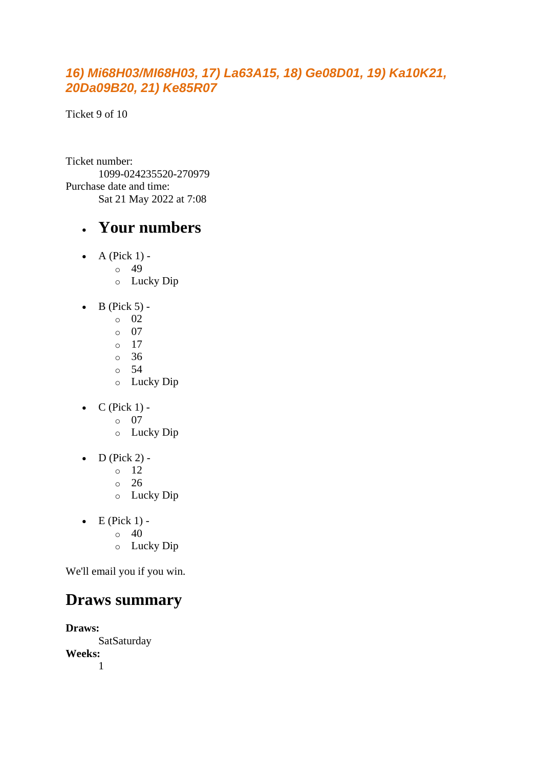#### *16) Mi68H03/MI68H03, 17) La63A15, 18) Ge08D01, 19) Ka10K21, 20Da09B20, 21) Ke85R07*

Ticket 9 of 10

Ticket number: 1099-024235520-270979 Purchase date and time: Sat 21 May 2022 at 7:08

#### • **Your numbers**

- A (Pick  $1$ ) -
	- $\degree$  49
		- o Lucky Dip
- $\bullet$  B (Pick 5)
	- o 02
	- o 07
	- o 17
	- o 36
	- o 54 o Lucky Dip
- $\bullet$  C (Pick 1)
	- o 07
	- o Lucky Dip
- $\bullet$  D (Pick 2) -
	- $\circ$  12
	- o 26
	- o Lucky Dip
- $\bullet$  E (Pick 1) -
	- $\circ$  40
	- o Lucky Dip

We'll email you if you win.

### **Draws summary**

**Draws:** SatSaturday **Weeks:** 1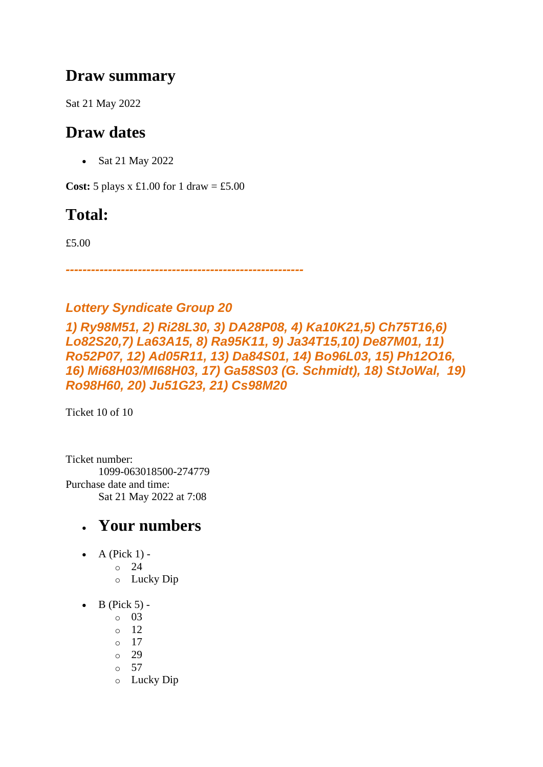### **Draw summary**

Sat 21 May 2022

### **Draw dates**

• Sat 21 May 2022

**Cost:**  $5$  plays x £1.00 for 1 draw = £5.00

### **Total:**

£5.00

*--------------------------------------------------------*

#### *Lottery Syndicate Group 20*

*1) Ry98M51, 2) Ri28L30, 3) DA28P08, 4) Ka10K21,5) Ch75T16,6) Lo82S20,7) La63A15, 8) Ra95K11, 9) Ja34T15,10) De87M01, 11) Ro52P07, 12) Ad05R11, 13) Da84S01, 14) Bo96L03, 15) Ph12O16, 16) Mi68H03/MI68H03, 17) Ga58S03 (G. Schmidt), 18) StJoWal, 19) Ro98H60, 20) Ju51G23, 21) Cs98M20*

Ticket 10 of 10

Ticket number: 1099-063018500-274779 Purchase date and time: Sat 21 May 2022 at 7:08

- $\bullet$  A (Pick 1)
	- o 24
		- o Lucky Dip
- $\bullet$  B (Pick 5)
	- o 03
	- o 12
	- o 17
	- o 29
	- $\circ$  57
	- o Lucky Dip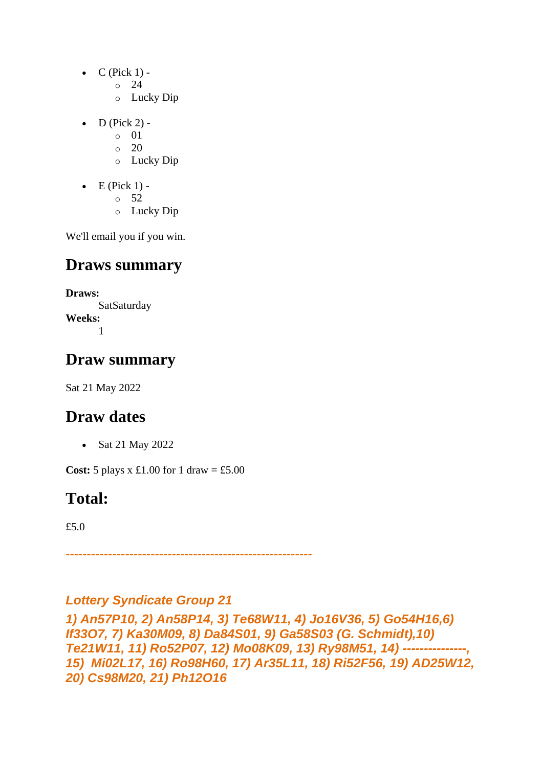- $C$  (Pick 1) -
	- $\circ$  24
	- o Lucky Dip
- $\bullet$  D (Pick 2)
	- o 01
	- $\circ$  20
	- o Lucky Dip
- $\bullet$  E (Pick 1)
	- o 52
	- o Lucky Dip

### **Draws summary**

**Draws: SatSaturday Weeks:** 1

### **Draw summary**

Sat 21 May 2022

### **Draw dates**

• Sat 21 May 2022

**Cost:**  $5$  plays x £1.00 for 1 draw = £5.00

### **Total:**

£5.0

*----------------------------------------------------------*

#### *Lottery Syndicate Group 21*

*1) An57P10, 2) An58P14, 3) Te68W11, 4) Jo16V36, 5) Go54H16,6) If33O7, 7) Ka30M09, 8) Da84S01, 9) Ga58S03 (G. Schmidt),10) Te21W11, 11) Ro52P07, 12) Mo08K09, 13) Ry98M51, 14) ---------------, 15) Mi02L17, 16) Ro98H60, 17) Ar35L11, 18) Ri52F56, 19) AD25W12, 20) Cs98M20, 21) Ph12O16*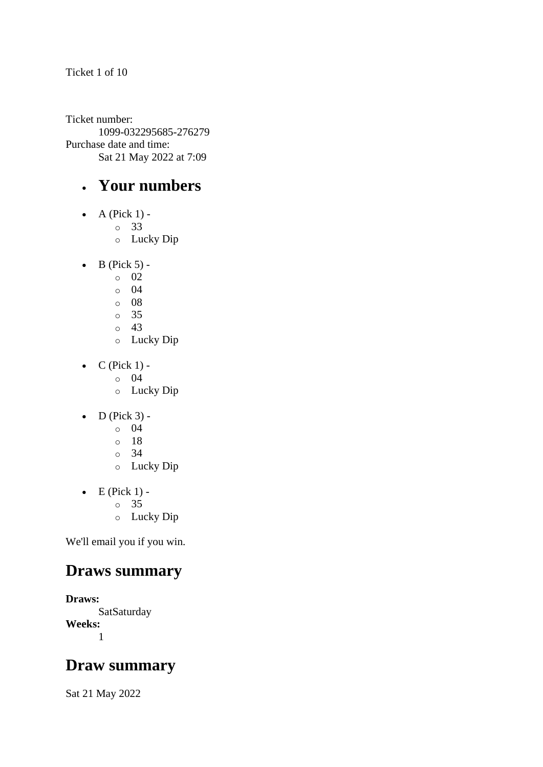#### Ticket 1 of 10

Ticket number: 1099-032295685-276279 Purchase date and time: Sat 21 May 2022 at 7:09

### • **Your numbers**

- $\bullet$  A (Pick 1)
	- o 33
	- o Lucky Dip
- $\bullet$  B (Pick 5)
	- o 02
	- $\circ$  04
	- o 08
	- o 35
	- o 43
	- o Lucky Dip
- $\bullet$  C (Pick 1)
	- o 04
	- o Lucky Dip
- $\bullet$  D (Pick 3)
	- o 04
	- o 18
	- o 34
	- o Lucky Dip
- $\bullet$  E (Pick 1)
	- o 35
	- o Lucky Dip

We'll email you if you win.

### **Draws summary**

**Draws: SatSaturday Weeks:** 1

### **Draw summary**

Sat 21 May 2022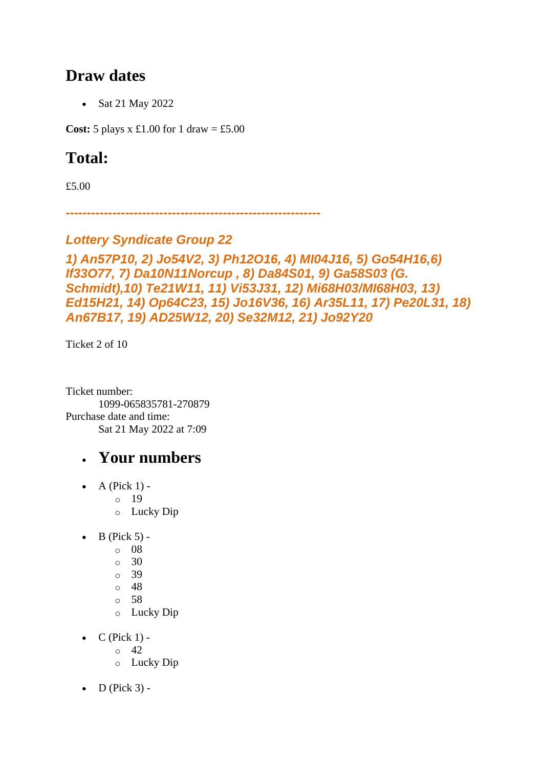#### **Draw dates**

• Sat 21 May 2022

**Cost:** 5 plays x £1.00 for 1 draw = £5.00

### **Total:**

£5.00

*------------------------------------------------------------*

#### *Lottery Syndicate Group 22*

#### *1) An57P10, 2) Jo54V2, 3) Ph12O16, 4) MI04J16, 5) Go54H16,6) If33O77, 7) Da10N11Norcup , 8) Da84S01, 9) Ga58S03 (G. Schmidt),10) Te21W11, 11) Vi53J31, 12) Mi68H03/MI68H03, 13) Ed15H21, 14) Op64C23, 15) Jo16V36, 16) Ar35L11, 17) Pe20L31, 18) An67B17, 19) AD25W12, 20) Se32M12, 21) Jo92Y20*

Ticket 2 of 10

Ticket number: 1099-065835781-270879 Purchase date and time: Sat 21 May 2022 at 7:09

- $\bullet$  A (Pick 1)
	- o 19
	- o Lucky Dip
- $\bullet$  B (Pick 5)
	- o 08
	- o 30
	- o 39
	- $\circ$  48
	- o 58
	- o Lucky Dip
- $C$  (Pick 1) -
	- $\circ$  42
	- o Lucky Dip
- $D$  (Pick 3) -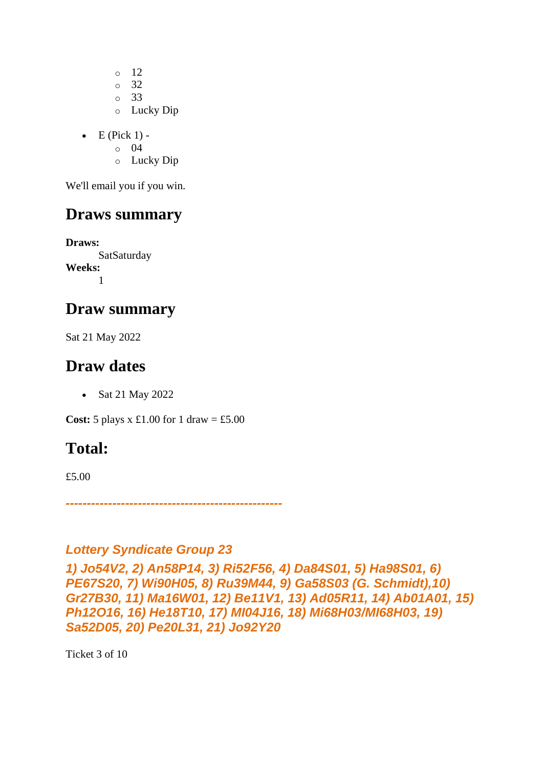o 12 o 32 o 33 o Lucky Dip

 $\bullet$  E (Pick 1) -

o 04

o Lucky Dip

We'll email you if you win.

#### **Draws summary**

**Draws: SatSaturday Weeks:** 1

#### **Draw summary**

Sat 21 May 2022

#### **Draw dates**

• Sat 21 May 2022

**Cost:**  $5$  plays x £1.00 for 1 draw = £5.00

### **Total:**

£5.00

*---------------------------------------------------*

#### *Lottery Syndicate Group 23*

*1) Jo54V2, 2) An58P14, 3) Ri52F56, 4) Da84S01, 5) Ha98S01, 6) PE67S20, 7) Wi90H05, 8) Ru39M44, 9) Ga58S03 (G. Schmidt),10) Gr27B30, 11) Ma16W01, 12) Be11V1, 13) Ad05R11, 14) Ab01A01, 15) Ph12O16, 16) He18T10, 17) MI04J16, 18) Mi68H03/MI68H03, 19) Sa52D05, 20) Pe20L31, 21) Jo92Y20*

Ticket 3 of 10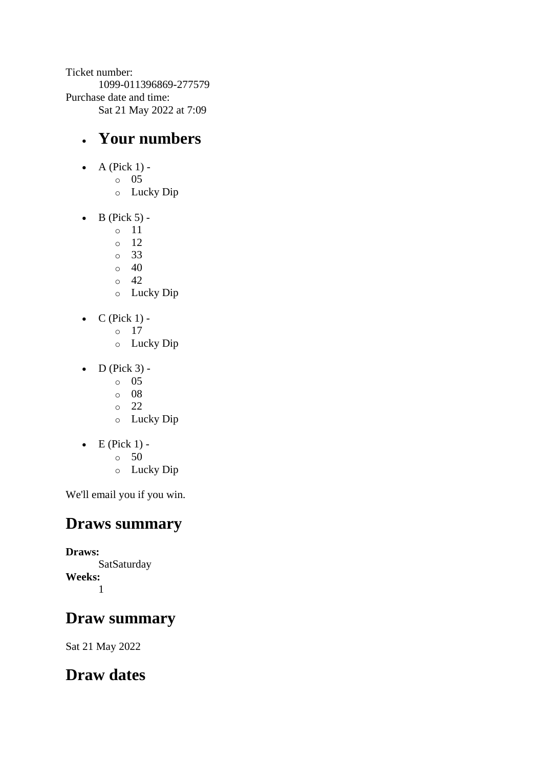Ticket number: 1099-011396869-277579 Purchase date and time: Sat 21 May 2022 at 7:09

### • **Your numbers**

- $\bullet$  A (Pick 1)
	- o 05
		- o Lucky Dip
- $\bullet$  B (Pick 5)
	- o 11
	- o 12
	- o 33
	- $\circ$  40
	- $\circ$  42
	- o Lucky Dip
- $\bullet$  C (Pick 1)
	- o 17
	- o Lucky Dip
- $\bullet$  D (Pick 3)
	- o 05
	- o 08
	- o 22
	- o Lucky Dip
- $\bullet$  E (Pick 1) -
	- $\circ$  50
	- o Lucky Dip

We'll email you if you win.

### **Draws summary**

**Draws: SatSaturday Weeks:** 1

### **Draw summary**

Sat 21 May 2022

## **Draw dates**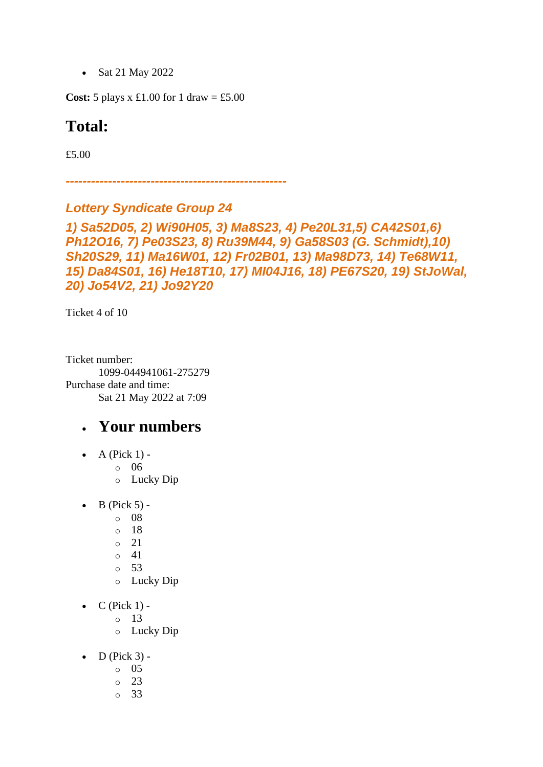• Sat 21 May 2022

**Cost:** 5 plays x £1.00 for 1 draw = £5.00

#### **Total:**

£5.00

*----------------------------------------------------*

#### *Lottery Syndicate Group 24*

*1) Sa52D05, 2) Wi90H05, 3) Ma8S23, 4) Pe20L31,5) CA42S01,6) Ph12O16, 7) Pe03S23, 8) Ru39M44, 9) Ga58S03 (G. Schmidt),10) Sh20S29, 11) Ma16W01, 12) Fr02B01, 13) Ma98D73, 14) Te68W11, 15) Da84S01, 16) He18T10, 17) MI04J16, 18) PE67S20, 19) StJoWal, 20) Jo54V2, 21) Jo92Y20*

Ticket 4 of 10

Ticket number: 1099-044941061-275279 Purchase date and time: Sat 21 May 2022 at 7:09

- A (Pick  $1$ )
	- o 06
	- o Lucky Dip
- $\bullet$  B (Pick 5)
	- o 08
		- o 18
		- o 21
	- o 41
	- o 53
	- o Lucky Dip
- $\bullet$  C (Pick 1)
	- o 13
		- o Lucky Dip
- $\bullet$  D (Pick 3)
	- o 05
	- o 23
	- o 33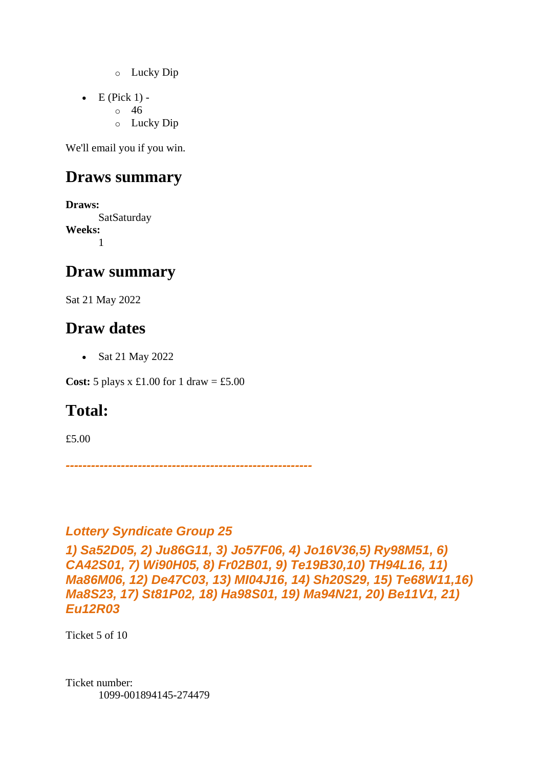- o Lucky Dip
- $\bullet$  E (Pick 1)
	- o 46
		- o Lucky Dip

#### **Draws summary**

**Draws:** SatSaturday **Weeks:** 1

#### **Draw summary**

Sat 21 May 2022

### **Draw dates**

• Sat 21 May 2022

**Cost:**  $5$  plays x £1.00 for 1 draw = £5.00

### **Total:**

£5.00

*----------------------------------------------------------*

#### *Lottery Syndicate Group 25*

*1) Sa52D05, 2) Ju86G11, 3) Jo57F06, 4) Jo16V36,5) Ry98M51, 6) CA42S01, 7) Wi90H05, 8) Fr02B01, 9) Te19B30,10) TH94L16, 11) Ma86M06, 12) De47C03, 13) MI04J16, 14) Sh20S29, 15) Te68W11,16) Ma8S23, 17) St81P02, 18) Ha98S01, 19) Ma94N21, 20) Be11V1, 21) Eu12R03*

Ticket 5 of 10

Ticket number: 1099-001894145-274479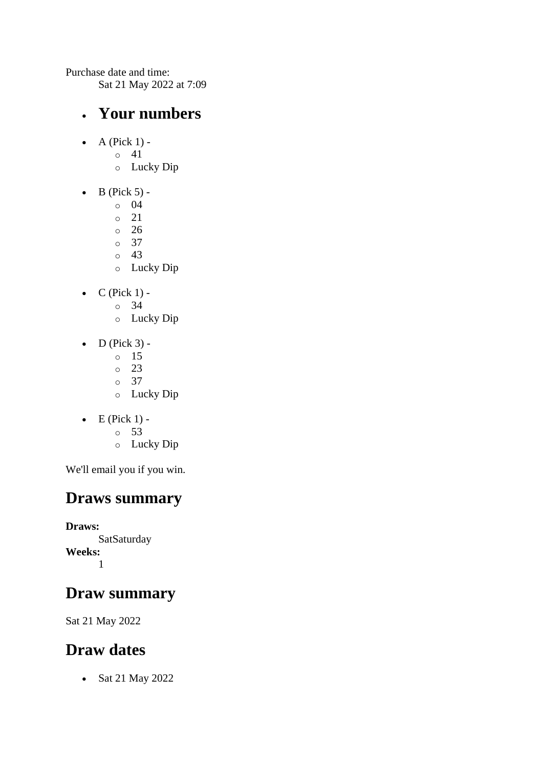Purchase date and time: Sat 21 May 2022 at 7:09

#### • **Your numbers**

- $\bullet$  A (Pick 1)
	- o 41
		- o Lucky Dip
- $\bullet$  B (Pick 5)
	- o 04
	- $0 \t 21$
	- o 26
	- o 37
	- o 43
	- o Lucky Dip
- $\bullet$  C (Pick 1)
	- o 34
	- o Lucky Dip
- $\bullet$  D (Pick 3)
	- o 15
	- o 23
	- o 37
	- o Lucky Dip
- $\bullet$  E (Pick 1) -
	- $\circ$  53
	- o Lucky Dip

We'll email you if you win.

### **Draws summary**

**Draws:** SatSaturday **Weeks:** 1

## **Draw summary**

Sat 21 May 2022

## **Draw dates**

• Sat 21 May 2022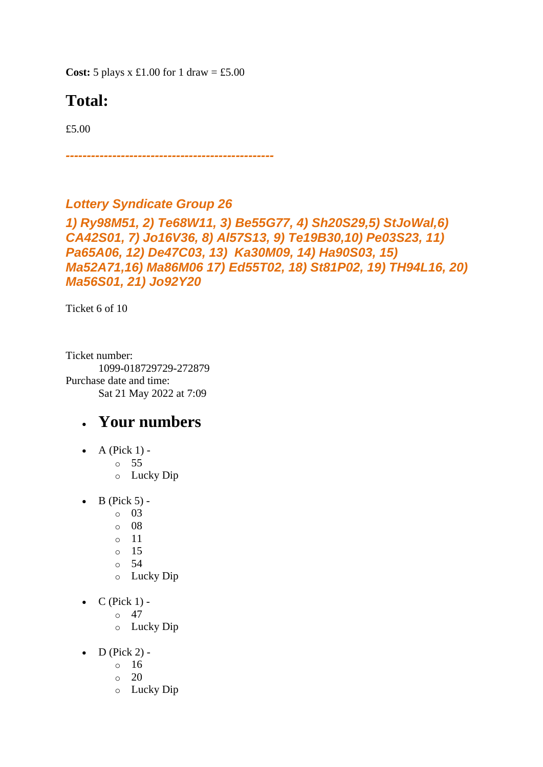**Cost:**  $5$  plays x £1.00 for 1 draw = £5.00

## **Total:**

£5.00

*-------------------------------------------------*

#### *Lottery Syndicate Group 26*

*1) Ry98M51, 2) Te68W11, 3) Be55G77, 4) Sh20S29,5) StJoWal,6) CA42S01, 7) Jo16V36, 8) Al57S13, 9) Te19B30,10) Pe03S23, 11) Pa65A06, 12) De47C03, 13) Ka30M09, 14) Ha90S03, 15) Ma52A71,16) Ma86M06 17) Ed55T02, 18) St81P02, 19) TH94L16, 20) Ma56S01, 21) Jo92Y20*

Ticket 6 of 10

Ticket number: 1099-018729729-272879 Purchase date and time: Sat 21 May 2022 at 7:09

- $\bullet$  A (Pick 1)
	- o 55
	- o Lucky Dip
- $\bullet$  B (Pick 5)
	- o 03
	- o 08
	- o 11
	- o 15
	- o 54
	- o Lucky Dip
- $C$  (Pick 1) -
	- $\circ$  47
	- o Lucky Dip
- $\bullet$  D (Pick 2) -
	- $\circ$  16
	- $\circ$  20
	- o Lucky Dip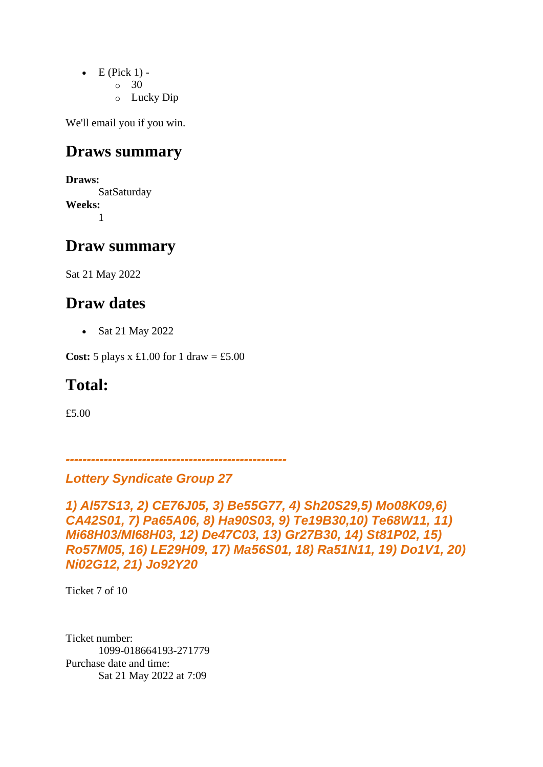- $\bullet$  E (Pick 1) -
	- $\circ$  30
	- o Lucky Dip

#### **Draws summary**

**Draws:** SatSaturday **Weeks:** 1

#### **Draw summary**

Sat 21 May 2022

### **Draw dates**

• Sat 21 May 2022

**Cost:** 5 plays x £1.00 for 1 draw = £5.00

### **Total:**

£5.00

*----------------------------------------------------*

#### *Lottery Syndicate Group 27*

*1) Al57S13, 2) CE76J05, 3) Be55G77, 4) Sh20S29,5) Mo08K09,6) CA42S01, 7) Pa65A06, 8) Ha90S03, 9) Te19B30,10) Te68W11, 11) Mi68H03/MI68H03, 12) De47C03, 13) Gr27B30, 14) St81P02, 15) Ro57M05, 16) LE29H09, 17) Ma56S01, 18) Ra51N11, 19) Do1V1, 20) Ni02G12, 21) Jo92Y20*

Ticket 7 of 10

Ticket number: 1099-018664193-271779 Purchase date and time: Sat 21 May 2022 at 7:09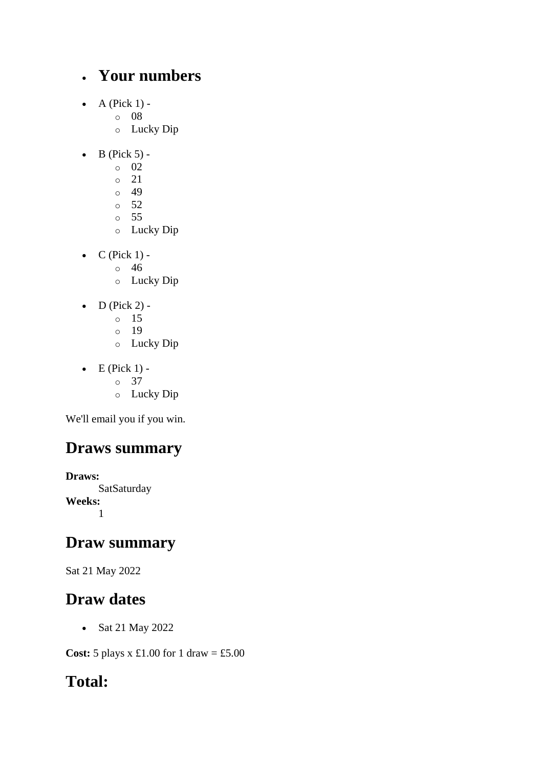### • **Your numbers**

- $\bullet$  A (Pick 1)
	- o 08
	- o Lucky Dip
- $\bullet$  B (Pick 5) -
	- $\circ$  02
	- o 21
	- o 49
	- o 52
	- o 55
	- o Lucky Dip
- $\bullet$  C (Pick 1) -
	- $\circ$  46
	- o Lucky Dip
- $\bullet$  D (Pick 2)
	- o 15
	- o 19
	- o Lucky Dip
- $\bullet$  E (Pick 1) o 37
	-
	- o Lucky Dip

We'll email you if you win.

## **Draws summary**

**Draws: SatSaturday Weeks:** 1

### **Draw summary**

Sat 21 May 2022

### **Draw dates**

• Sat 21 May 2022

**Cost:** 5 plays x £1.00 for 1 draw = £5.00

### **Total:**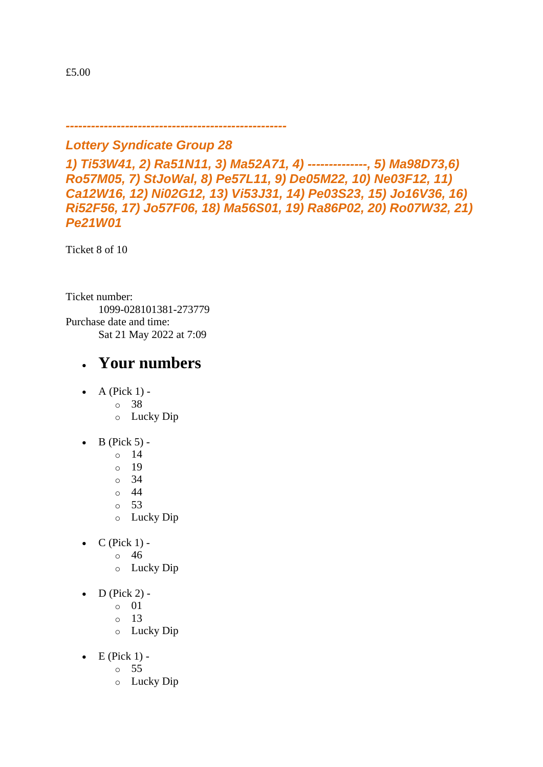*Lottery Syndicate Group 28*

*----------------------------------------------------*

*1) Ti53W41, 2) Ra51N11, 3) Ma52A71, 4) --------------, 5) Ma98D73,6) Ro57M05, 7) StJoWal, 8) Pe57L11, 9) De05M22, 10) Ne03F12, 11) Ca12W16, 12) Ni02G12, 13) Vi53J31, 14) Pe03S23, 15) Jo16V36, 16) Ri52F56, 17) Jo57F06, 18) Ma56S01, 19) Ra86P02, 20) Ro07W32, 21) Pe21W01*

Ticket 8 of 10

Ticket number: 1099-028101381-273779 Purchase date and time: Sat 21 May 2022 at 7:09

- $\bullet$  A (Pick 1)
	- o 38
	- o Lucky Dip
- $\bullet$  B (Pick 5)
	- o 14
	- o 19
	- $\circ$  34
	- o 44
	- o 53
	- o Lucky Dip
- $\bullet$  C (Pick 1)
	- o 46
	- o Lucky Dip
- $\bullet$  D (Pick 2)
	- o 01
	- o 13
	- o Lucky Dip
- $\bullet$  E (Pick 1)
	- o 55
	- o Lucky Dip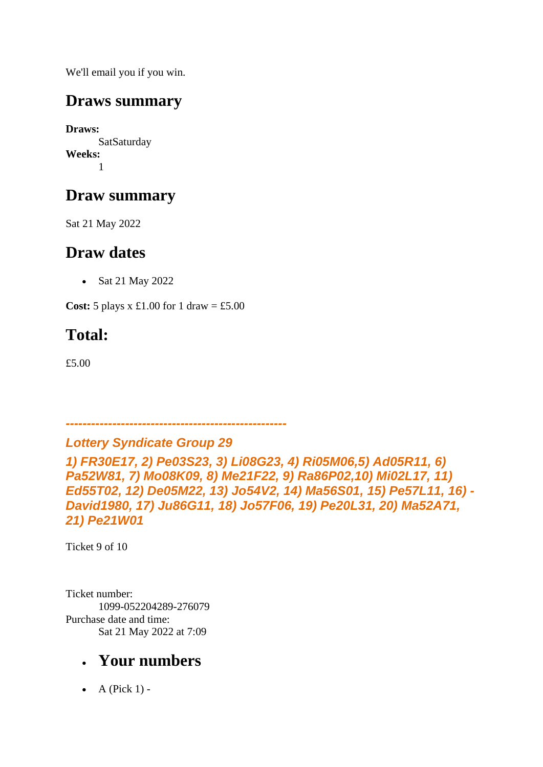### **Draws summary**

**Draws: SatSaturday Weeks:** 1

### **Draw summary**

Sat 21 May 2022

### **Draw dates**

• Sat 21 May 2022

**Cost:** 5 plays x £1.00 for 1 draw = £5.00

## **Total:**

£5.00

*----------------------------------------------------*

#### *Lottery Syndicate Group 29*

*1) FR30E17, 2) Pe03S23, 3) Li08G23, 4) Ri05M06,5) Ad05R11, 6) Pa52W81, 7) Mo08K09, 8) Me21F22, 9) Ra86P02,10) Mi02L17, 11) Ed55T02, 12) De05M22, 13) Jo54V2, 14) Ma56S01, 15) Pe57L11, 16) - David1980, 17) Ju86G11, 18) Jo57F06, 19) Pe20L31, 20) Ma52A71, 21) Pe21W01*

Ticket 9 of 10

Ticket number: 1099-052204289-276079 Purchase date and time: Sat 21 May 2022 at 7:09

### • **Your numbers**

• A (Pick  $1$ ) -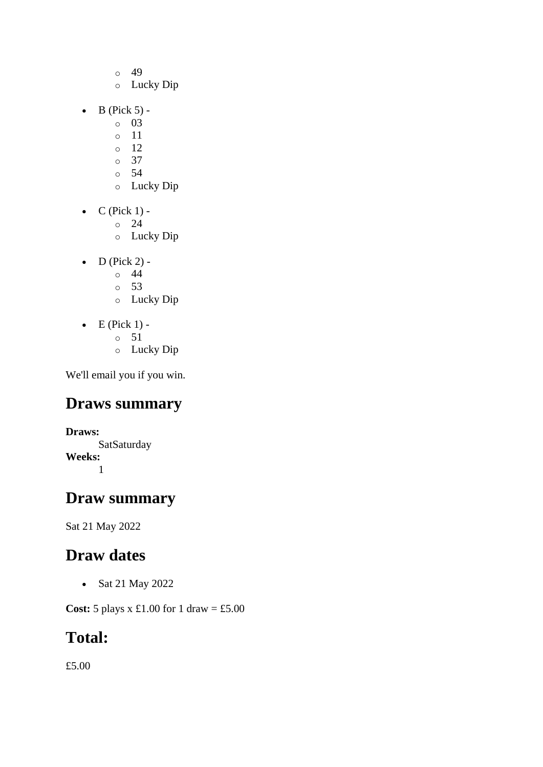- o 49
- o Lucky Dip
- $\bullet$  B (Pick 5)
	- o 03
	- o 11
	- $\circ$  12
	- o 37
	- o 54
	- o Lucky Dip
- $\bullet$  C (Pick 1)
	- o 24
	- o Lucky Dip
- $D$  (Pick 2) -
	- $\circ$  44
	- o 53
	- o Lucky Dip
- $\bullet$  E (Pick 1)
	- o 51
	- o Lucky Dip

### **Draws summary**

**Draws: SatSaturday Weeks:** 1

### **Draw summary**

Sat 21 May 2022

### **Draw dates**

• Sat 21 May 2022

**Cost:** 5 plays x £1.00 for 1 draw = £5.00

### **Total:**

£5.00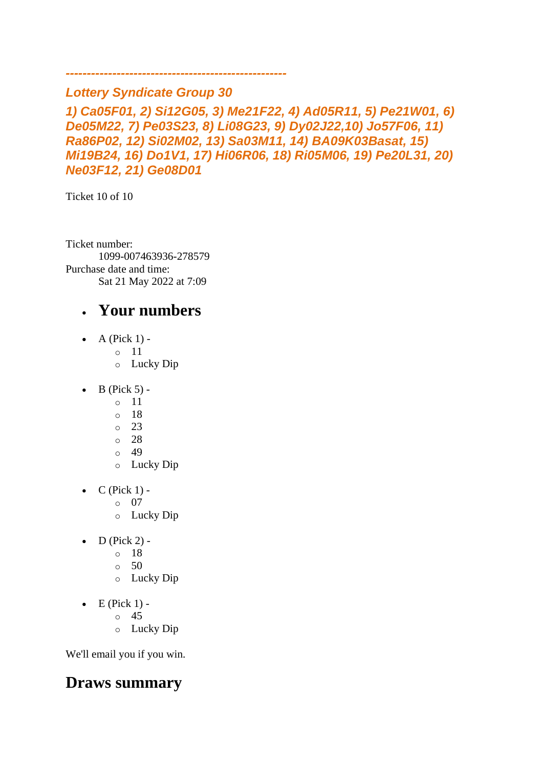#### *Lottery Syndicate Group 30*

*----------------------------------------------------*

*1) Ca05F01, 2) Si12G05, 3) Me21F22, 4) Ad05R11, 5) Pe21W01, 6) De05M22, 7) Pe03S23, 8) Li08G23, 9) Dy02J22,10) Jo57F06, 11) Ra86P02, 12) Si02M02, 13) Sa03M11, 14) BA09K03Basat, 15) Mi19B24, 16) Do1V1, 17) Hi06R06, 18) Ri05M06, 19) Pe20L31, 20) Ne03F12, 21) Ge08D01*

Ticket 10 of 10

Ticket number: 1099-007463936-278579 Purchase date and time: Sat 21 May 2022 at 7:09

### • **Your numbers**

- $\bullet$  A (Pick 1)
	- o 11
	- o Lucky Dip
- $\bullet$  B (Pick 5)
	- o 11
	- o 18
	- o 23
	- o 28
	- $\circ$  49
	- o Lucky Dip
- $\bullet$  C (Pick 1)
	- o 07
	- o Lucky Dip
- $D$  (Pick 2)
	- o 18
	- o 50
	- o Lucky Dip
- $\bullet$  E (Pick 1) -
	- $\circ$  45
	- o Lucky Dip

We'll email you if you win.

### **Draws summary**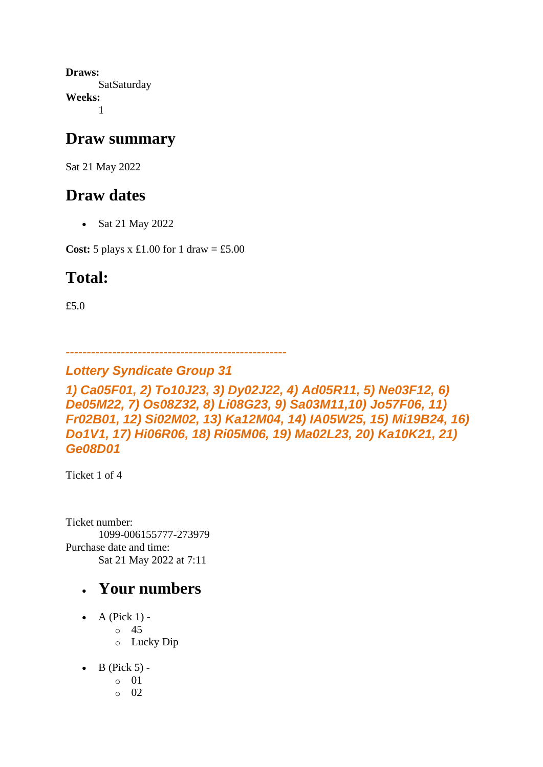**Draws: SatSaturday Weeks:** 1

#### **Draw summary**

Sat 21 May 2022

### **Draw dates**

• Sat 21 May 2022

**Cost:** 5 plays x £1.00 for 1 draw = £5.00

### **Total:**

£5.0

*----------------------------------------------------*

#### *Lottery Syndicate Group 31*

*1) Ca05F01, 2) To10J23, 3) Dy02J22, 4) Ad05R11, 5) Ne03F12, 6) De05M22, 7) Os08Z32, 8) Li08G23, 9) Sa03M11,10) Jo57F06, 11) Fr02B01, 12) Si02M02, 13) Ka12M04, 14) IA05W25, 15) Mi19B24, 16) Do1V1, 17) Hi06R06, 18) Ri05M06, 19) Ma02L23, 20) Ka10K21, 21) Ge08D01*

Ticket 1 of 4

Ticket number: 1099-006155777-273979 Purchase date and time: Sat 21 May 2022 at 7:11

- A (Pick  $1$ )
	- o 45
	- o Lucky Dip
- $\bullet$  B (Pick 5)
	- o 01
	- o 02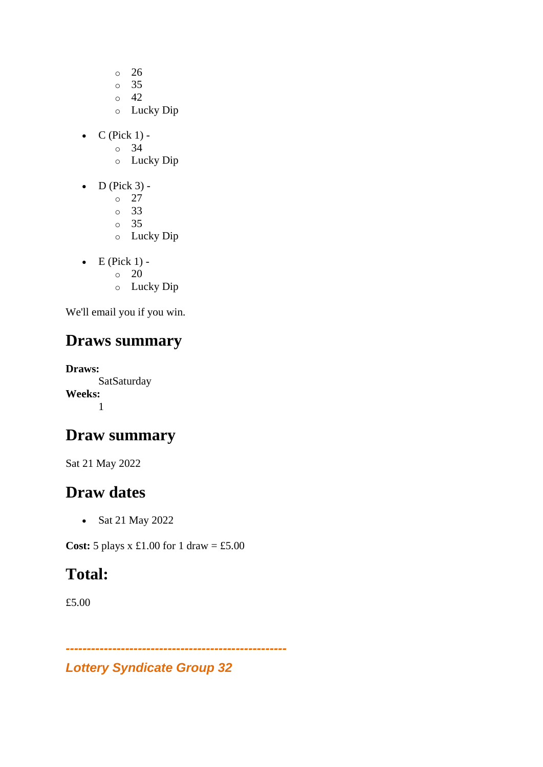- o 26
- o 35
- o 42
- o Lucky Dip
- $\bullet$  C (Pick 1)
	- o 34
	- o Lucky Dip
- $\bullet$  D (Pick 3)
	- o 27
	- o 33
	- o 35
	- o Lucky Dip
- $\bullet$  E (Pick 1) - $\circ$  20
	- o Lucky Dip
- We'll email you if you win.

### **Draws summary**

**Draws: SatSaturday Weeks:** 1

### **Draw summary**

Sat 21 May 2022

#### **Draw dates**

• Sat 21 May 2022

**Cost:** 5 plays x £1.00 for 1 draw = £5.00

### **Total:**

£5.00

*Lottery Syndicate Group 32*

*----------------------------------------------------*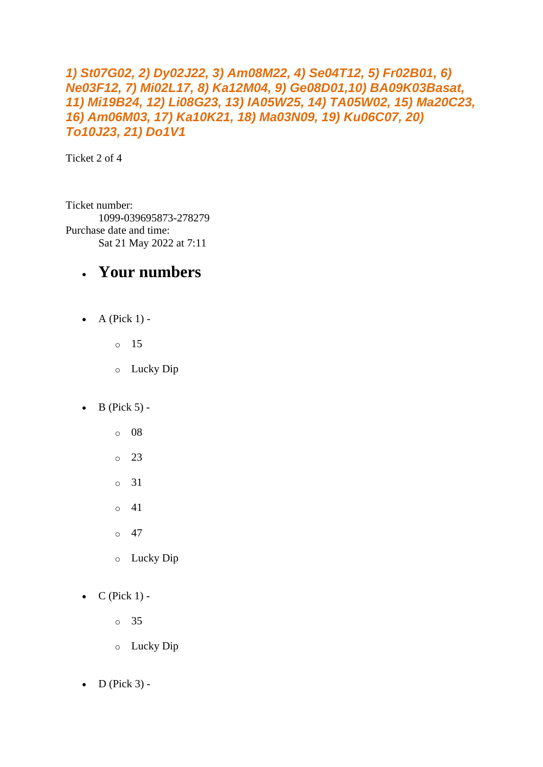#### *1) St07G02, 2) Dy02J22, 3) Am08M22, 4) Se04T12, 5) Fr02B01, 6) Ne03F12, 7) Mi02L17, 8) Ka12M04, 9) Ge08D01,10) BA09K03Basat, 11) Mi19B24, 12) Li08G23, 13) IA05W25, 14) TA05W02, 15) Ma20C23, 16) Am06M03, 17) Ka10K21, 18) Ma03N09, 19) Ku06C07, 20) To10J23, 21) Do1V1*

Ticket 2 of 4

Ticket number: 1099-039695873-278279 Purchase date and time: Sat 21 May 2022 at 7:11

#### • **Your numbers**

 $\bullet$  A (Pick 1) -

o 15

- o Lucky Dip
- $\bullet$  B (Pick 5)
	- o 08
	- $\circ$  23
	- o 31
	- $\circ$  41
	- $\circ$  47
	- o Lucky Dip
- $\bullet$  C (Pick 1)
	- o 35
	- o Lucky Dip
- $\bullet$  D (Pick 3) -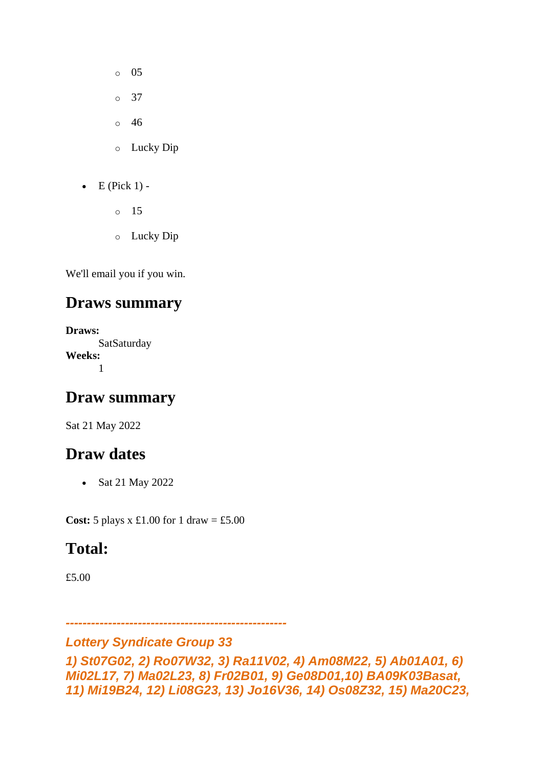- o 05
- o 37
- o 46
- o Lucky Dip
- $\bullet$  E (Pick 1)
	- o 15
	- o Lucky Dip

#### **Draws summary**

**Draws: SatSaturday Weeks:** 1

### **Draw summary**

Sat 21 May 2022

### **Draw dates**

• Sat 21 May 2022

**Cost:**  $5$  plays x £1.00 for 1 draw = £5.00

### **Total:**

£5.00

*----------------------------------------------------*

#### *Lottery Syndicate Group 33*

*1) St07G02, 2) Ro07W32, 3) Ra11V02, 4) Am08M22, 5) Ab01A01, 6) Mi02L17, 7) Ma02L23, 8) Fr02B01, 9) Ge08D01,10) BA09K03Basat, 11) Mi19B24, 12) Li08G23, 13) Jo16V36, 14) Os08Z32, 15) Ma20C23,*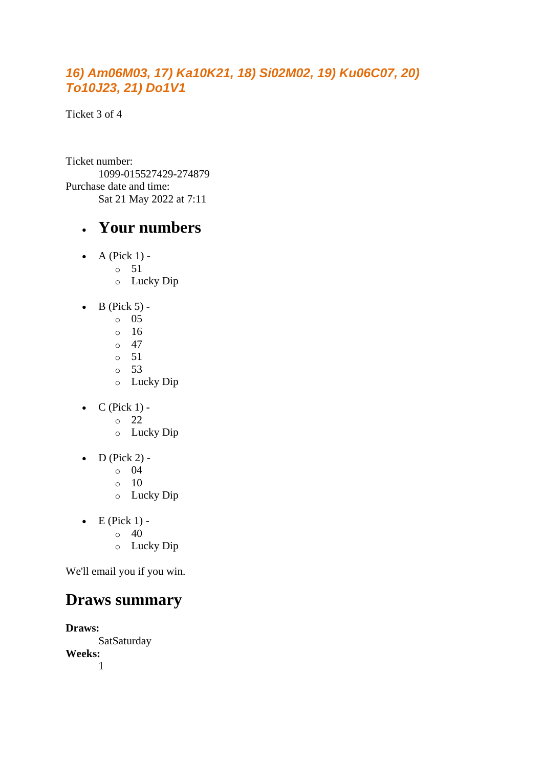#### *16) Am06M03, 17) Ka10K21, 18) Si02M02, 19) Ku06C07, 20) To10J23, 21) Do1V1*

Ticket 3 of 4

Ticket number: 1099-015527429-274879 Purchase date and time: Sat 21 May 2022 at 7:11

#### • **Your numbers**

- $\bullet$  A (Pick 1) -
	- $\circ$  51
		- o Lucky Dip
- $\bullet$  B (Pick 5) -
	- $\circ$  05
	- o 16
	- $\circ$  47
	- o 51
	- o 53 o Lucky Dip
- $\bullet$  C (Pick 1)
	- o 22
	- o Lucky Dip
- $\bullet$  D (Pick 2)
	- o 04
	- $\circ$  10
	- o Lucky Dip
- $\bullet$  E (Pick 1) -
	- $\circ$  40
	- o Lucky Dip

We'll email you if you win.

### **Draws summary**

**Draws:** SatSaturday **Weeks:** 1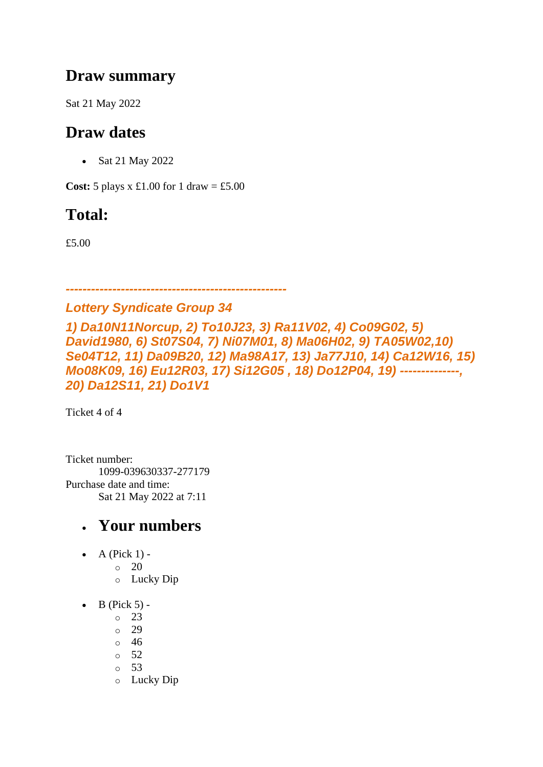### **Draw summary**

Sat 21 May 2022

### **Draw dates**

• Sat 21 May 2022

**Cost:**  $5$  plays x £1.00 for 1 draw = £5.00

## **Total:**

£5.00

*----------------------------------------------------*

#### *Lottery Syndicate Group 34*

*1) Da10N11Norcup, 2) To10J23, 3) Ra11V02, 4) Co09G02, 5) David1980, 6) St07S04, 7) Ni07M01, 8) Ma06H02, 9) TA05W02,10) Se04T12, 11) Da09B20, 12) Ma98A17, 13) Ja77J10, 14) Ca12W16, 15) Mo08K09, 16) Eu12R03, 17) Si12G05 , 18) Do12P04, 19) --------------, 20) Da12S11, 21) Do1V1*

Ticket 4 of 4

Ticket number: 1099-039630337-277179 Purchase date and time: Sat 21 May 2022 at 7:11

- $\bullet$  A (Pick 1)
	- o 20
		- o Lucky Dip
- $\bullet$  B (Pick 5) -
	- $\circ$  23
	- o 29
	- o 46
	- o 52
	- o 53
	- o Lucky Dip